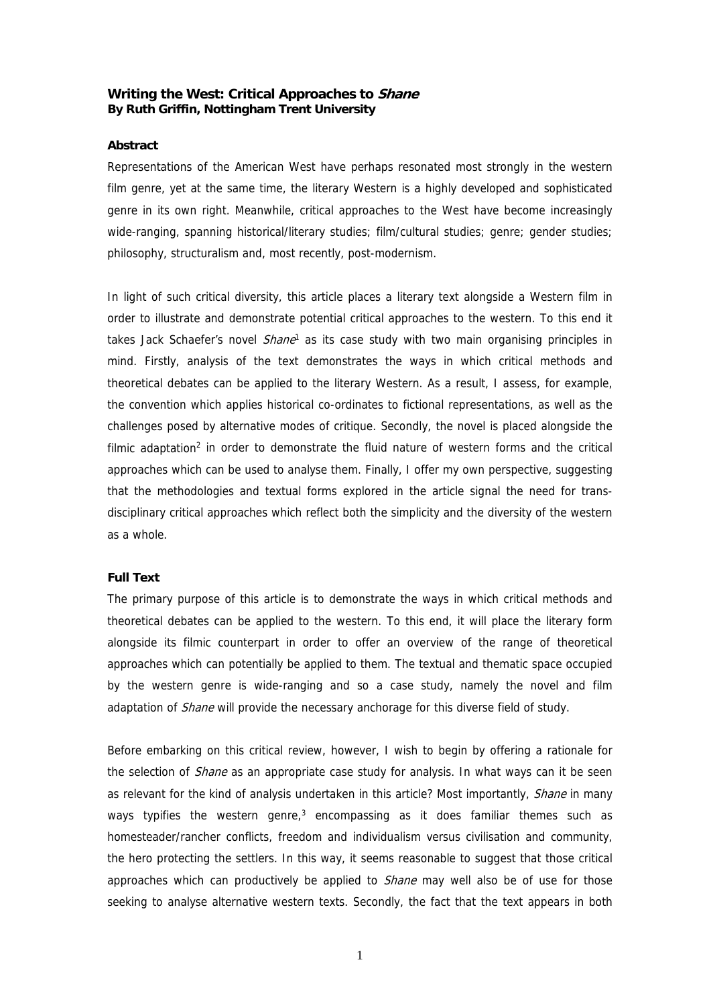# **Writing the West: Critical Approaches to Shane By Ruth Griffin, Nottingham Trent University**

### **Abstract**

Representations of the American West have perhaps resonated most strongly in the western film genre, yet at the same time, the literary Western is a highly developed and sophisticated genre in its own right. Meanwhile, critical approaches to the West have become increasingly wide-ranging, spanning historical/literary studies; film/cultural studies; genre; gender studies; philosophy, structuralism and, most recently, post-modernism.

In light of such critical diversity, this article places a literary text alongside a Western film in order to illustrate and demonstrate potential critical approaches to the western. To this end it takes Jack Schaefer's novel *Shane*<sup>1</sup> as its case study with two main organising principles in mind. Firstly, analysis of the text demonstrates the ways in which critical methods and theoretical debates can be applied to the literary Western. As a result, I assess, for example, the convention which applies historical co-ordinates to fictional representations, as well as the challenges posed by alternative modes of critique. Secondly, the novel is placed alongside the filmic adaptation<sup>2</sup> in order to demonstrate the fluid nature of western forms and the critical approaches which can be used to analyse them. Finally, I offer my own perspective, suggesting that the methodologies and textual forms explored in the article signal the need for transdisciplinary critical approaches which reflect both the simplicity and the diversity of the western as a whole.

### **Full Text**

The primary purpose of this article is to demonstrate the ways in which critical methods and theoretical debates can be applied to the western. To this end, it will place the literary form alongside its filmic counterpart in order to offer an overview of the range of theoretical approaches which can potentially be applied to them. The textual and thematic space occupied by the western genre is wide-ranging and so a case study, namely the novel and film adaptation of Shane will provide the necessary anchorage for this diverse field of study.

Before embarking on this critical review, however, I wish to begin by offering a rationale for the selection of *Shane* as an appropriate case study for analysis. In what ways can it be seen as relevant for the kind of analysis undertaken in this article? Most importantly, *Shane* in many ways typifies the western genre, $3$  encompassing as it does familiar themes such as homesteader/rancher conflicts, freedom and individualism versus civilisation and community, the hero protecting the settlers. In this way, it seems reasonable to suggest that those critical approaches which can productively be applied to *Shane* may well also be of use for those seeking to analyse alternative western texts. Secondly, the fact that the text appears in both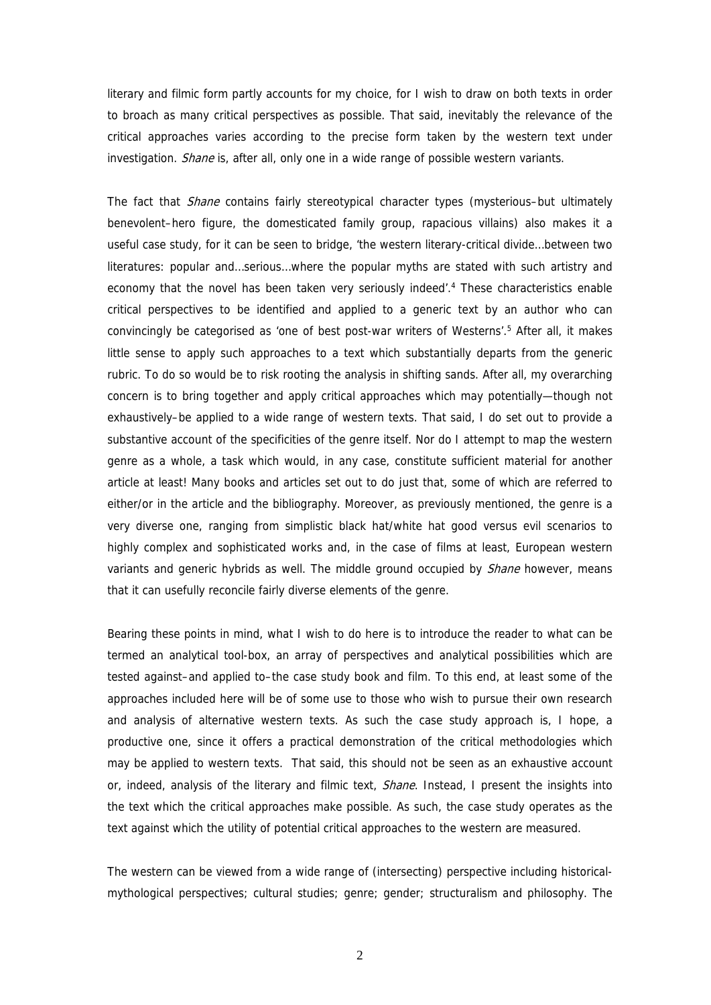literary and filmic form partly accounts for my choice, for I wish to draw on both texts in order to broach as many critical perspectives as possible. That said, inevitably the relevance of the critical approaches varies according to the precise form taken by the western text under investigation. Shane is, after all, only one in a wide range of possible western variants.

The fact that *Shane* contains fairly stereotypical character types (mysterious–but ultimately benevolent–hero figure, the domesticated family group, rapacious villains) also makes it a useful case study, for it can be seen to bridge, 'the western literary-critical divide…between two literatures: popular and…serious…where the popular myths are stated with such artistry and economy that the novel has been taken very seriously indeed'.4 These characteristics enable critical perspectives to be identified and applied to a generic text by an author who can convincingly be categorised as 'one of best post-war writers of Westerns'.5 After all, it makes little sense to apply such approaches to a text which substantially departs from the generic rubric. To do so would be to risk rooting the analysis in shifting sands. After all, my overarching concern is to bring together and apply critical approaches which may potentially—though not exhaustively–be applied to a wide range of western texts. That said, I do set out to provide a substantive account of the specificities of the genre itself. Nor do I attempt to map the western genre as a whole, a task which would, in any case, constitute sufficient material for another article at least! Many books and articles set out to do just that, some of which are referred to either/or in the article and the bibliography. Moreover, as previously mentioned, the genre is a very diverse one, ranging from simplistic black hat/white hat good versus evil scenarios to highly complex and sophisticated works and, in the case of films at least, European western variants and generic hybrids as well. The middle ground occupied by *Shane* however, means that it can usefully reconcile fairly diverse elements of the genre.

Bearing these points in mind, what I wish to do here is to introduce the reader to what can be termed an analytical tool-box, an array of perspectives and analytical possibilities which are tested against–and applied to–the case study book and film. To this end, at least some of the approaches included here will be of some use to those who wish to pursue their own research and analysis of alternative western texts. As such the case study approach is, I hope, a productive one, since it offers a practical demonstration of the critical methodologies which may be applied to western texts. That said, this should not be seen as an exhaustive account or, indeed, analysis of the literary and filmic text, Shane. Instead, I present the insights into the text which the critical approaches make possible. As such, the case study operates as the text against which the utility of potential critical approaches to the western are measured.

The western can be viewed from a wide range of (intersecting) perspective including historicalmythological perspectives; cultural studies; genre; gender; structuralism and philosophy. The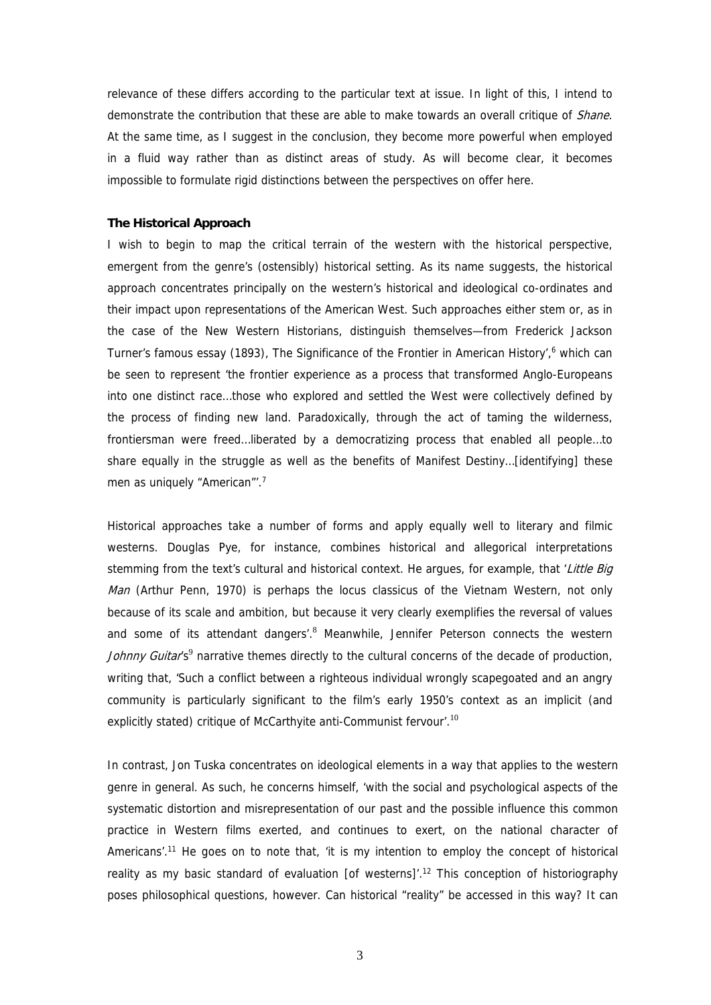relevance of these differs according to the particular text at issue. In light of this, I intend to demonstrate the contribution that these are able to make towards an overall critique of *Shane*. At the same time, as I suggest in the conclusion, they become more powerful when employed in a fluid way rather than as distinct areas of study. As will become clear, it becomes impossible to formulate rigid distinctions between the perspectives on offer here.

### **The Historical Approach**

I wish to begin to map the critical terrain of the western with the historical perspective, emergent from the genre's (ostensibly) historical setting. As its name suggests, the historical approach concentrates principally on the western's historical and ideological co-ordinates and their impact upon representations of the American West. Such approaches either stem or, as in the case of the New Western Historians, distinguish themselves—from Frederick Jackson Turner's famous essay (1893), The Significance of the Frontier in American History',<sup>6</sup> which can be seen to represent 'the frontier experience as a process that transformed Anglo-Europeans into one distinct race…those who explored and settled the West were collectively defined by the process of finding new land. Paradoxically, through the act of taming the wilderness, frontiersman were freed…liberated by a democratizing process that enabled all people…to share equally in the struggle as well as the benefits of Manifest Destiny…[identifying] these men as uniquely "American"'.<sup>7</sup>

Historical approaches take a number of forms and apply equally well to literary and filmic westerns. Douglas Pye, for instance, combines historical and allegorical interpretations stemming from the text's cultural and historical context. He argues, for example, that 'Little Big Man (Arthur Penn, 1970) is perhaps the locus classicus of the Vietnam Western, not only because of its scale and ambition, but because it very clearly exemplifies the reversal of values and some of its attendant dangers'.<sup>8</sup> Meanwhile, Jennifer Peterson connects the western Johnny Guitar's<sup>9</sup> narrative themes directly to the cultural concerns of the decade of production, writing that, 'Such a conflict between a righteous individual wrongly scapegoated and an angry community is particularly significant to the film's early 1950's context as an implicit (and explicitly stated) critique of McCarthyite anti-Communist fervour'.<sup>10</sup>

In contrast, Jon Tuska concentrates on ideological elements in a way that applies to the western genre in general. As such, he concerns himself, 'with the social and psychological aspects of the systematic distortion and misrepresentation of our past and the possible influence this common practice in Western films exerted, and continues to exert, on the national character of Americans'.<sup>11</sup> He goes on to note that, 'it is my intention to employ the concept of historical reality as my basic standard of evaluation [of westerns]'.<sup>12</sup> This conception of historiography poses philosophical questions, however. Can historical "reality" be accessed in this way? It can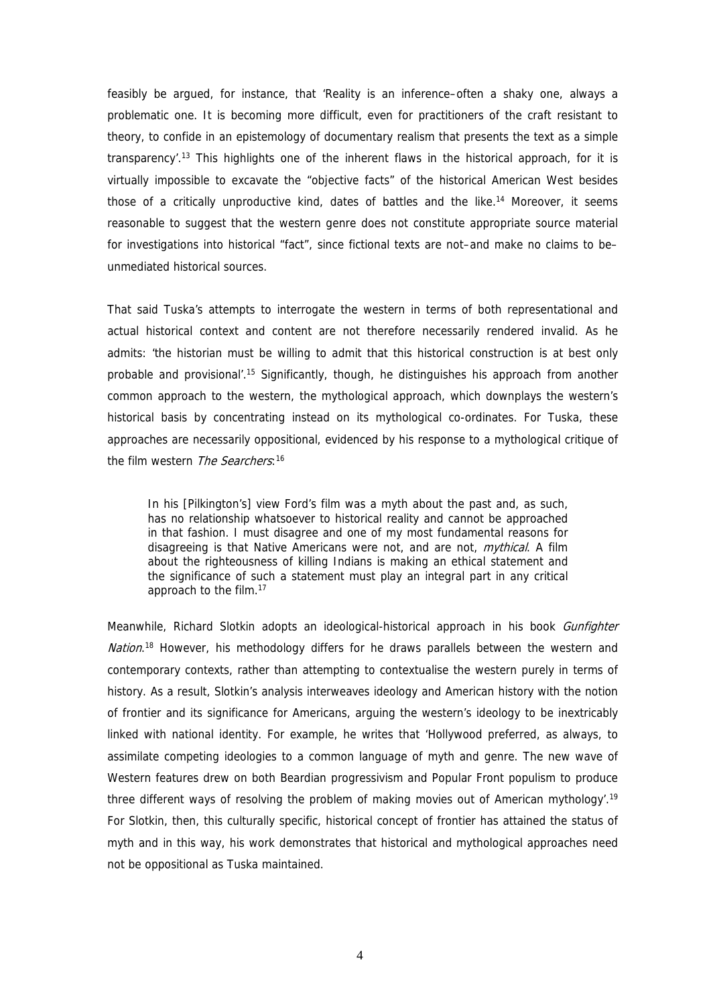feasibly be argued, for instance, that 'Reality is an inference–often a shaky one, always a problematic one. It is becoming more difficult, even for practitioners of the craft resistant to theory, to confide in an epistemology of documentary realism that presents the text as a simple transparency'.13 This highlights one of the inherent flaws in the historical approach, for it is virtually impossible to excavate the "objective facts" of the historical American West besides those of a critically unproductive kind, dates of battles and the like.<sup>14</sup> Moreover, it seems reasonable to suggest that the western genre does not constitute appropriate source material for investigations into historical "fact", since fictional texts are not–and make no claims to be– unmediated historical sources.

That said Tuska's attempts to interrogate the western in terms of both representational and actual historical context and content are not therefore necessarily rendered invalid. As he admits: 'the historian must be willing to admit that this historical construction is at best only probable and provisional'.15 Significantly, though, he distinguishes his approach from another common approach to the western, the mythological approach, which downplays the western's historical basis by concentrating instead on its mythological co-ordinates. For Tuska, these approaches are necessarily oppositional, evidenced by his response to a mythological critique of the film western The Searchers:<sup>16</sup>

In his [Pilkington's] view Ford's film was a myth about the past and, as such, has no relationship whatsoever to historical reality and cannot be approached in that fashion. I must disagree and one of my most fundamental reasons for disagreeing is that Native Americans were not, and are not, *mythical*. A film about the righteousness of killing Indians is making an ethical statement and the significance of such a statement must play an integral part in any critical approach to the film.17

Meanwhile, Richard Slotkin adopts an ideological-historical approach in his book Gunfighter Nation.<sup>18</sup> However, his methodology differs for he draws parallels between the western and contemporary contexts, rather than attempting to contextualise the western purely in terms of history. As a result, Slotkin's analysis interweaves ideology and American history with the notion of frontier and its significance for Americans, arguing the western's ideology to be inextricably linked with national identity. For example, he writes that 'Hollywood preferred, as always, to assimilate competing ideologies to a common language of myth and genre. The new wave of Western features drew on both Beardian progressivism and Popular Front populism to produce three different ways of resolving the problem of making movies out of American mythology'.19 For Slotkin, then, this culturally specific, historical concept of frontier has attained the status of myth and in this way, his work demonstrates that historical and mythological approaches need not be oppositional as Tuska maintained.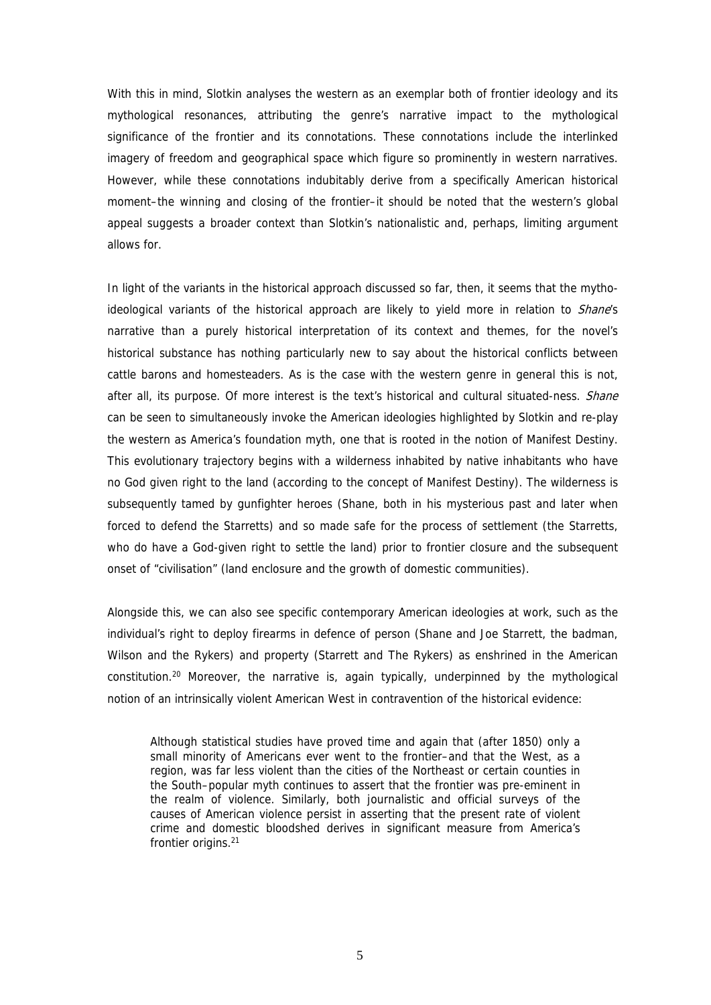With this in mind, Slotkin analyses the western as an exemplar both of frontier ideology and its mythological resonances, attributing the genre's narrative impact to the mythological significance of the frontier and its connotations. These connotations include the interlinked imagery of freedom and geographical space which figure so prominently in western narratives. However, while these connotations indubitably derive from a specifically American historical moment–the winning and closing of the frontier–it should be noted that the western's global appeal suggests a broader context than Slotkin's nationalistic and, perhaps, limiting argument allows for.

In light of the variants in the historical approach discussed so far, then, it seems that the mythoideological variants of the historical approach are likely to yield more in relation to *Shane's* narrative than a purely historical interpretation of its context and themes, for the novel's historical substance has nothing particularly new to say about the historical conflicts between cattle barons and homesteaders. As is the case with the western genre in general this is not, after all, its purpose. Of more interest is the text's historical and cultural situated-ness. *Shane* can be seen to simultaneously invoke the American ideologies highlighted by Slotkin and re-play the western as America's foundation myth, one that is rooted in the notion of Manifest Destiny. This evolutionary trajectory begins with a wilderness inhabited by native inhabitants who have no God given right to the land (according to the concept of Manifest Destiny). The wilderness is subsequently tamed by gunfighter heroes (Shane, both in his mysterious past and later when forced to defend the Starretts) and so made safe for the process of settlement (the Starretts, who do have a God-given right to settle the land) prior to frontier closure and the subsequent onset of "civilisation" (land enclosure and the growth of domestic communities).

Alongside this, we can also see specific contemporary American ideologies at work, such as the individual's right to deploy firearms in defence of person (Shane and Joe Starrett, the badman, Wilson and the Rykers) and property (Starrett and The Rykers) as enshrined in the American constitution.20 Moreover, the narrative is, again typically, underpinned by the mythological notion of an intrinsically violent American West in contravention of the historical evidence:

Although statistical studies have proved time and again that (after 1850) only a small minority of Americans ever went to the frontier–and that the West, as a region, was far less violent than the cities of the Northeast or certain counties in the South–popular myth continues to assert that the frontier was pre-eminent in the realm of violence. Similarly, both journalistic and official surveys of the causes of American violence persist in asserting that the present rate of violent crime and domestic bloodshed derives in significant measure from America's frontier origins.21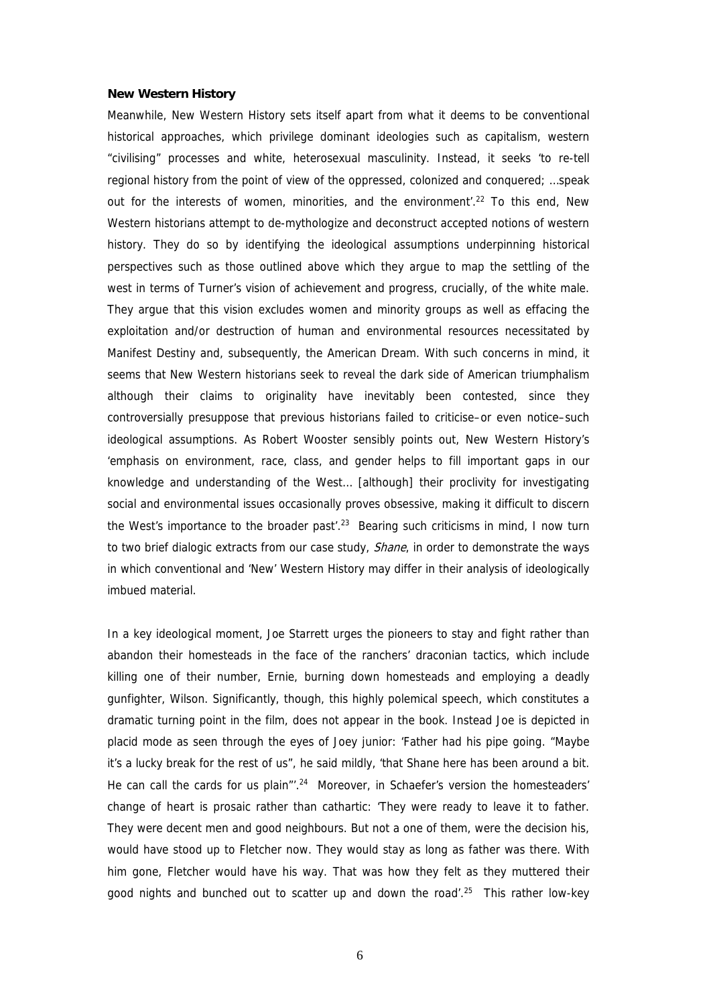### **New Western History**

Meanwhile, New Western History sets itself apart from what it deems to be conventional historical approaches, which privilege dominant ideologies such as capitalism, western "civilising" processes and white, heterosexual masculinity. Instead, it seeks 'to re-tell regional history from the point of view of the oppressed, colonized and conquered; …speak out for the interests of women, minorities, and the environment'.<sup>22</sup> To this end, New Western historians attempt to de-mythologize and deconstruct accepted notions of western history. They do so by identifying the ideological assumptions underpinning historical perspectives such as those outlined above which they argue to map the settling of the west in terms of Turner's vision of achievement and progress, crucially, of the white male. They argue that this vision excludes women and minority groups as well as effacing the exploitation and/or destruction of human and environmental resources necessitated by Manifest Destiny and, subsequently, the American Dream. With such concerns in mind, it seems that New Western historians seek to reveal the dark side of American triumphalism although their claims to originality have inevitably been contested, since they controversially presuppose that previous historians failed to criticise–or even notice–such ideological assumptions. As Robert Wooster sensibly points out, New Western History's 'emphasis on environment, race, class, and gender helps to fill important gaps in our knowledge and understanding of the West… [although] their proclivity for investigating social and environmental issues occasionally proves obsessive, making it difficult to discern the West's importance to the broader past'.<sup>23</sup> Bearing such criticisms in mind, I now turn to two brief dialogic extracts from our case study, Shane, in order to demonstrate the ways in which conventional and 'New' Western History may differ in their analysis of ideologically imbued material.

In a key ideological moment, Joe Starrett urges the pioneers to stay and fight rather than abandon their homesteads in the face of the ranchers' draconian tactics, which include killing one of their number, Ernie, burning down homesteads and employing a deadly gunfighter, Wilson. Significantly, though, this highly polemical speech, which constitutes a dramatic turning point in the film, does not appear in the book. Instead Joe is depicted in placid mode as seen through the eyes of Joey junior: 'Father had his pipe going. "Maybe it's a lucky break for the rest of us", he said mildly, 'that Shane here has been around a bit. He can call the cards for us plain"<sup>'.24</sup> Moreover, in Schaefer's version the homesteaders' change of heart is prosaic rather than cathartic: 'They were ready to leave it to father. They were decent men and good neighbours. But not a one of them, were the decision his, would have stood up to Fletcher now. They would stay as long as father was there. With him gone, Fletcher would have his way. That was how they felt as they muttered their good nights and bunched out to scatter up and down the road'.<sup>25</sup> This rather low-key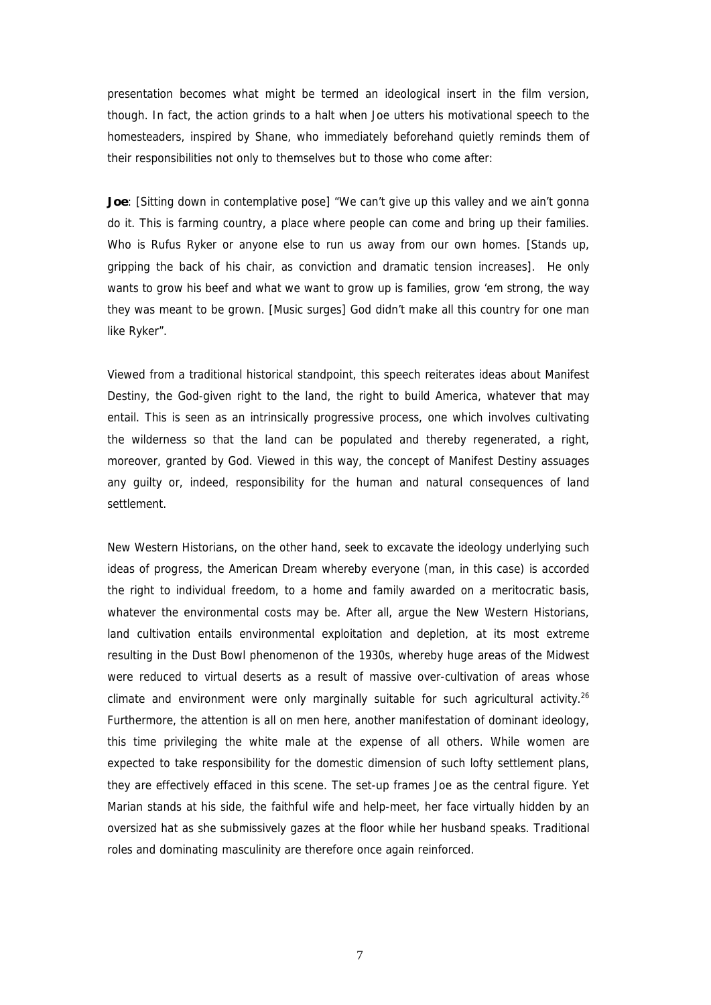presentation becomes what might be termed an ideological insert in the film version, though. In fact, the action grinds to a halt when Joe utters his motivational speech to the homesteaders, inspired by Shane, who immediately beforehand quietly reminds them of their responsibilities not only to themselves but to those who come after:

**Joe**: [Sitting down in contemplative pose] "We can't give up this valley and we ain't gonna do it. This is farming country, a place where people can come and bring up their families. Who is Rufus Ryker or anyone else to run us away from our own homes. [Stands up, gripping the back of his chair, as conviction and dramatic tension increases]. He only wants to grow his beef and what we want to grow up is families, grow 'em strong, the way they was meant to be grown. [Music surges] God didn't make all this country for one man like Ryker".

Viewed from a traditional historical standpoint, this speech reiterates ideas about Manifest Destiny, the God-given right to the land, the right to build America, whatever that may entail. This is seen as an intrinsically progressive process, one which involves cultivating the wilderness so that the land can be populated and thereby regenerated, a right, moreover, granted by God. Viewed in this way, the concept of Manifest Destiny assuages any guilty or, indeed, responsibility for the human and natural consequences of land settlement.

New Western Historians, on the other hand, seek to excavate the ideology underlying such ideas of progress, the American Dream whereby everyone (man, in this case) is accorded the right to individual freedom, to a home and family awarded on a meritocratic basis, whatever the environmental costs may be. After all, argue the New Western Historians, land cultivation entails environmental exploitation and depletion, at its most extreme resulting in the Dust Bowl phenomenon of the 1930s, whereby huge areas of the Midwest were reduced to virtual deserts as a result of massive over-cultivation of areas whose climate and environment were only marginally suitable for such agricultural activity.<sup>26</sup> Furthermore, the attention is all on men here, another manifestation of dominant ideology, this time privileging the white male at the expense of all others. While women are expected to take responsibility for the domestic dimension of such lofty settlement plans, they are effectively effaced in this scene. The set-up frames Joe as the central figure. Yet Marian stands at his side, the faithful wife and help-meet, her face virtually hidden by an oversized hat as she submissively gazes at the floor while her husband speaks. Traditional roles and dominating masculinity are therefore once again reinforced.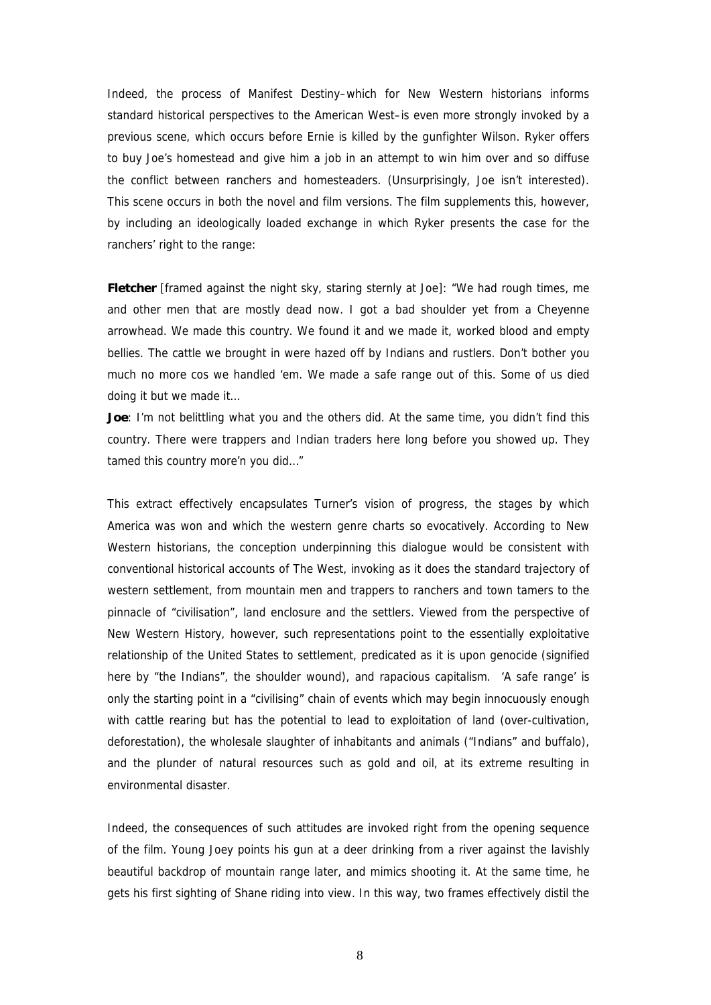Indeed, the process of Manifest Destiny–which for New Western historians informs standard historical perspectives to the American West–is even more strongly invoked by a previous scene, which occurs before Ernie is killed by the gunfighter Wilson. Ryker offers to buy Joe's homestead and give him a job in an attempt to win him over and so diffuse the conflict between ranchers and homesteaders. (Unsurprisingly, Joe isn't interested). This scene occurs in both the novel and film versions. The film supplements this, however, by including an ideologically loaded exchange in which Ryker presents the case for the ranchers' right to the range:

**Fletcher** [framed against the night sky, staring sternly at Joe]: "We had rough times, me and other men that are mostly dead now. I got a bad shoulder yet from a Cheyenne arrowhead. We made this country. We found it and we made it, worked blood and empty bellies. The cattle we brought in were hazed off by Indians and rustlers. Don't bother you much no more cos we handled 'em. We made a safe range out of this. Some of us died doing it but we made it…

**Joe**: I'm not belittling what you and the others did. At the same time, you didn't find this country. There were trappers and Indian traders here long before you showed up. They tamed this country more'n you did…"

This extract effectively encapsulates Turner's vision of progress, the stages by which America was won and which the western genre charts so evocatively. According to New Western historians, the conception underpinning this dialogue would be consistent with conventional historical accounts of The West, invoking as it does the standard trajectory of western settlement, from mountain men and trappers to ranchers and town tamers to the pinnacle of "civilisation", land enclosure and the settlers. Viewed from the perspective of New Western History, however, such representations point to the essentially exploitative relationship of the United States to settlement, predicated as it is upon genocide (signified here by "the Indians", the shoulder wound), and rapacious capitalism. 'A safe range' is only the starting point in a "civilising" chain of events which may begin innocuously enough with cattle rearing but has the potential to lead to exploitation of land (over-cultivation, deforestation), the wholesale slaughter of inhabitants and animals ("Indians" and buffalo), and the plunder of natural resources such as gold and oil, at its extreme resulting in environmental disaster.

Indeed, the consequences of such attitudes are invoked right from the opening sequence of the film. Young Joey points his gun at a deer drinking from a river against the lavishly beautiful backdrop of mountain range later, and mimics shooting it. At the same time, he gets his first sighting of Shane riding into view. In this way, two frames effectively distil the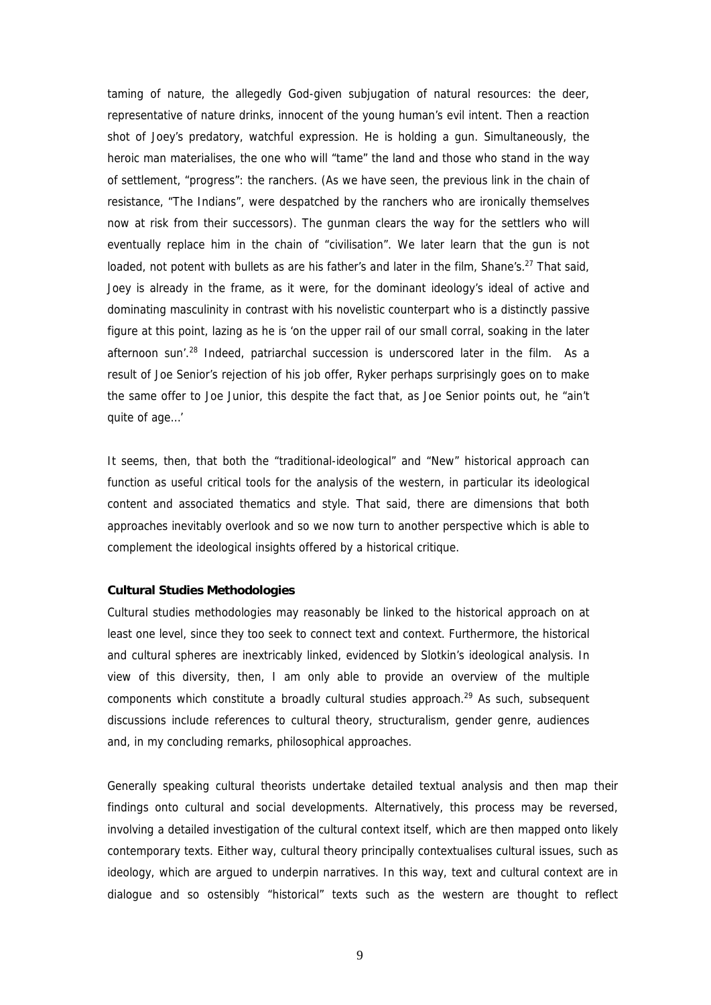taming of nature, the allegedly God-given subjugation of natural resources: the deer, representative of nature drinks, innocent of the young human's evil intent. Then a reaction shot of Joey's predatory, watchful expression. He is holding a gun. Simultaneously, the heroic man materialises, the one who will "tame" the land and those who stand in the way of settlement, "progress": the ranchers. (As we have seen, the previous link in the chain of resistance, "The Indians", were despatched by the ranchers who are ironically themselves now at risk from their successors). The gunman clears the way for the settlers who will eventually replace him in the chain of "civilisation". We later learn that the gun is not loaded, not potent with bullets as are his father's and later in the film, Shane's.<sup>27</sup> That said, Joey is already in the frame, as it were, for the dominant ideology's ideal of active and dominating masculinity in contrast with his novelistic counterpart who is a distinctly passive figure at this point, lazing as he is 'on the upper rail of our small corral, soaking in the later afternoon sun'.28 Indeed, patriarchal succession is underscored later in the film. As a result of Joe Senior's rejection of his job offer, Ryker perhaps surprisingly goes on to make the same offer to Joe Junior, this despite the fact that, as Joe Senior points out, he "ain't quite of age…'

It seems, then, that both the "traditional-ideological" and "New" historical approach can function as useful critical tools for the analysis of the western, in particular its ideological content and associated thematics and style. That said, there are dimensions that both approaches inevitably overlook and so we now turn to another perspective which is able to complement the ideological insights offered by a historical critique.

# **Cultural Studies Methodologies**

Cultural studies methodologies may reasonably be linked to the historical approach on at least one level, since they too seek to connect text and context. Furthermore, the historical and cultural spheres are inextricably linked, evidenced by Slotkin's ideological analysis. In view of this diversity, then, I am only able to provide an overview of the multiple components which constitute a broadly cultural studies approach.<sup>29</sup> As such, subsequent discussions include references to cultural theory, structuralism, gender genre, audiences and, in my concluding remarks, philosophical approaches.

Generally speaking cultural theorists undertake detailed textual analysis and then map their findings onto cultural and social developments. Alternatively, this process may be reversed, involving a detailed investigation of the cultural context itself, which are then mapped onto likely contemporary texts. Either way, cultural theory principally contextualises cultural issues, such as ideology, which are argued to underpin narratives. In this way, text and cultural context are in dialogue and so ostensibly "historical" texts such as the western are thought to reflect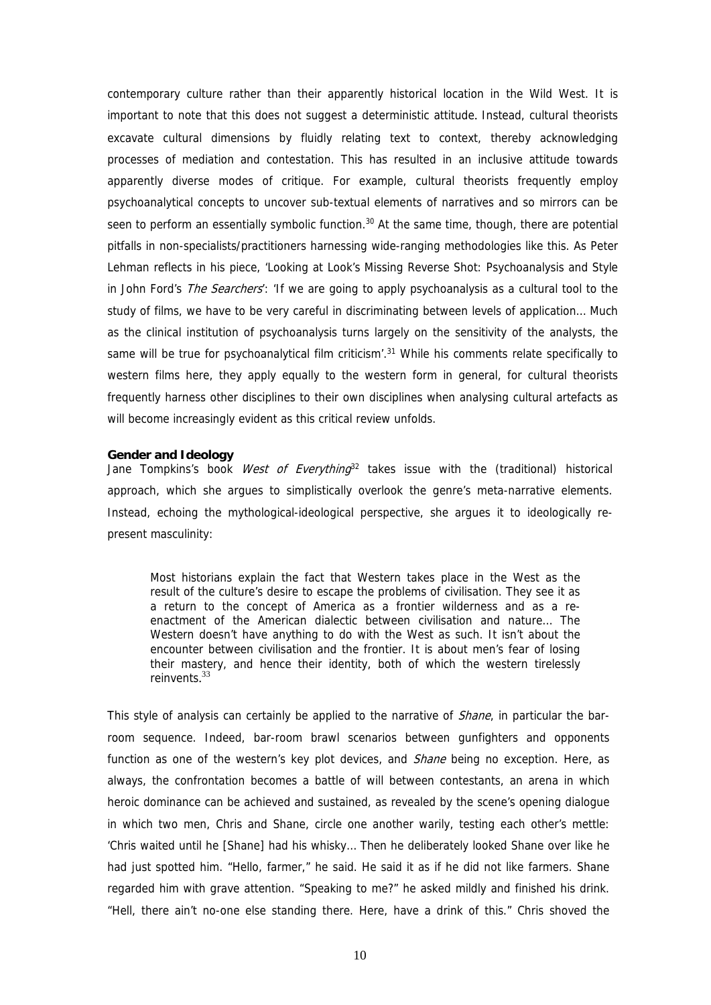contemporary culture rather than their apparently historical location in the Wild West. It is important to note that this does not suggest a deterministic attitude. Instead, cultural theorists excavate cultural dimensions by fluidly relating text to context, thereby acknowledging processes of mediation and contestation. This has resulted in an inclusive attitude towards apparently diverse modes of critique. For example, cultural theorists frequently employ psychoanalytical concepts to uncover sub-textual elements of narratives and so mirrors can be seen to perform an essentially symbolic function.<sup>30</sup> At the same time, though, there are potential pitfalls in non-specialists/practitioners harnessing wide-ranging methodologies like this. As Peter Lehman reflects in his piece, 'Looking at Look's Missing Reverse Shot: Psychoanalysis and Style in John Ford's The Searchers: 'If we are going to apply psychoanalysis as a cultural tool to the study of films, we have to be very careful in discriminating between levels of application… Much as the clinical institution of psychoanalysis turns largely on the sensitivity of the analysts, the same will be true for psychoanalytical film criticism'. $31$  While his comments relate specifically to western films here, they apply equally to the western form in general, for cultural theorists frequently harness other disciplines to their own disciplines when analysing cultural artefacts as will become increasingly evident as this critical review unfolds.

### **Gender and Ideology**

Jane Tompkins's book *West of Everything*<sup>32</sup> takes issue with the (traditional) historical approach, which she argues to simplistically overlook the genre's meta-narrative elements. Instead, echoing the mythological-ideological perspective, she argues it to ideologically represent masculinity:

Most historians explain the fact that Western takes place in the West as the result of the culture's desire to escape the problems of civilisation. They see it as a return to the concept of America as a frontier wilderness and as a reenactment of the American dialectic between civilisation and nature… The Western doesn't have anything to do with the West as such. It isn't about the encounter between civilisation and the frontier. It is about men's fear of losing their mastery, and hence their identity, both of which the western tirelessly reinvents. 33

This style of analysis can certainly be applied to the narrative of *Shane*, in particular the barroom sequence. Indeed, bar-room brawl scenarios between gunfighters and opponents function as one of the western's key plot devices, and *Shane* being no exception. Here, as always, the confrontation becomes a battle of will between contestants, an arena in which heroic dominance can be achieved and sustained, as revealed by the scene's opening dialogue in which two men, Chris and Shane, circle one another warily, testing each other's mettle: 'Chris waited until he [Shane] had his whisky… Then he deliberately looked Shane over like he had just spotted him. "Hello, farmer," he said. He said it as if he did not like farmers. Shane regarded him with grave attention. "Speaking to me?" he asked mildly and finished his drink. "Hell, there ain't no-one else standing there. Here, have a drink of this." Chris shoved the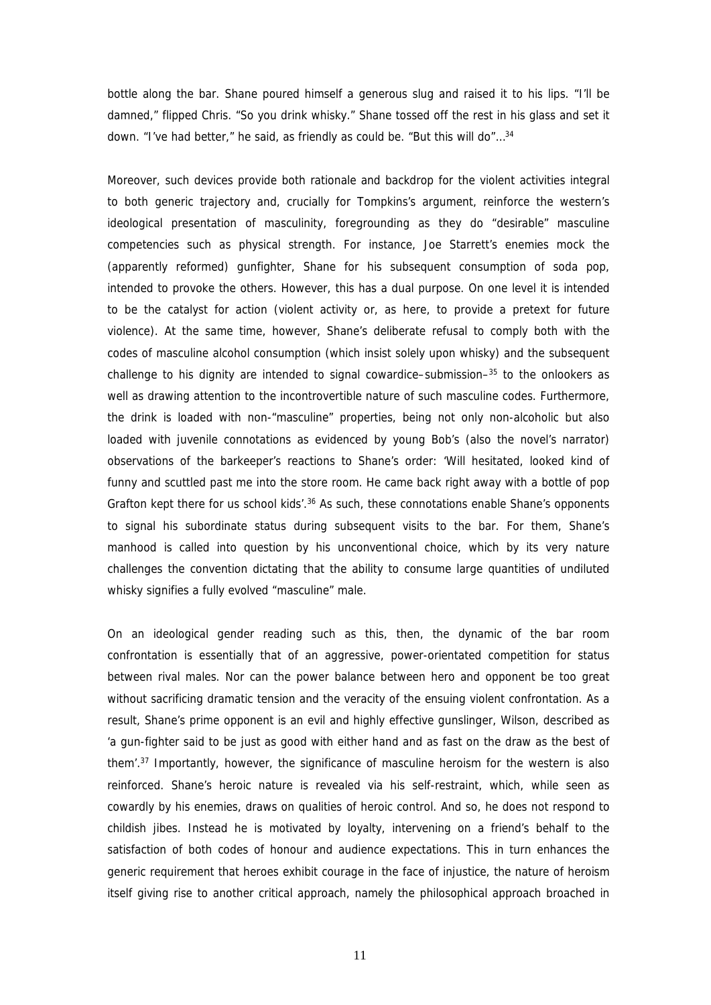bottle along the bar. Shane poured himself a generous slug and raised it to his lips. "I'll be damned," flipped Chris. "So you drink whisky." Shane tossed off the rest in his glass and set it down. "I've had better," he said, as friendly as could be. "But this will do"…34

Moreover, such devices provide both rationale and backdrop for the violent activities integral to both generic trajectory and, crucially for Tompkins's argument, reinforce the western's ideological presentation of masculinity, foregrounding as they do "desirable" masculine competencies such as physical strength. For instance, Joe Starrett's enemies mock the (apparently reformed) gunfighter, Shane for his subsequent consumption of soda pop, intended to provoke the others. However, this has a dual purpose. On one level it is intended to be the catalyst for action (violent activity or, as here, to provide a pretext for future violence). At the same time, however, Shane's deliberate refusal to comply both with the codes of masculine alcohol consumption (which insist solely upon whisky) and the subsequent challenge to his dignity are intended to signal cowardice–submission– $35$  to the onlookers as well as drawing attention to the incontrovertible nature of such masculine codes. Furthermore, the drink is loaded with non-"masculine" properties, being not only non-alcoholic but also loaded with juvenile connotations as evidenced by young Bob's (also the novel's narrator) observations of the barkeeper's reactions to Shane's order: 'Will hesitated, looked kind of funny and scuttled past me into the store room. He came back right away with a bottle of pop Grafton kept there for us school kids'.<sup>36</sup> As such, these connotations enable Shane's opponents to signal his subordinate status during subsequent visits to the bar. For them, Shane's manhood is called into question by his unconventional choice, which by its very nature challenges the convention dictating that the ability to consume large quantities of undiluted whisky signifies a fully evolved "masculine" male.

On an ideological gender reading such as this, then, the dynamic of the bar room confrontation is essentially that of an aggressive, power-orientated competition for status between rival males. Nor can the power balance between hero and opponent be too great without sacrificing dramatic tension and the veracity of the ensuing violent confrontation. As a result, Shane's prime opponent is an evil and highly effective gunslinger, Wilson, described as 'a gun-fighter said to be just as good with either hand and as fast on the draw as the best of them'.<sup>37</sup> Importantly, however, the significance of masculine heroism for the western is also reinforced. Shane's heroic nature is revealed via his self-restraint, which, while seen as cowardly by his enemies, draws on qualities of heroic control. And so, he does not respond to childish jibes. Instead he is motivated by loyalty, intervening on a friend's behalf to the satisfaction of both codes of honour and audience expectations. This in turn enhances the generic requirement that heroes exhibit courage in the face of injustice, the nature of heroism itself giving rise to another critical approach, namely the philosophical approach broached in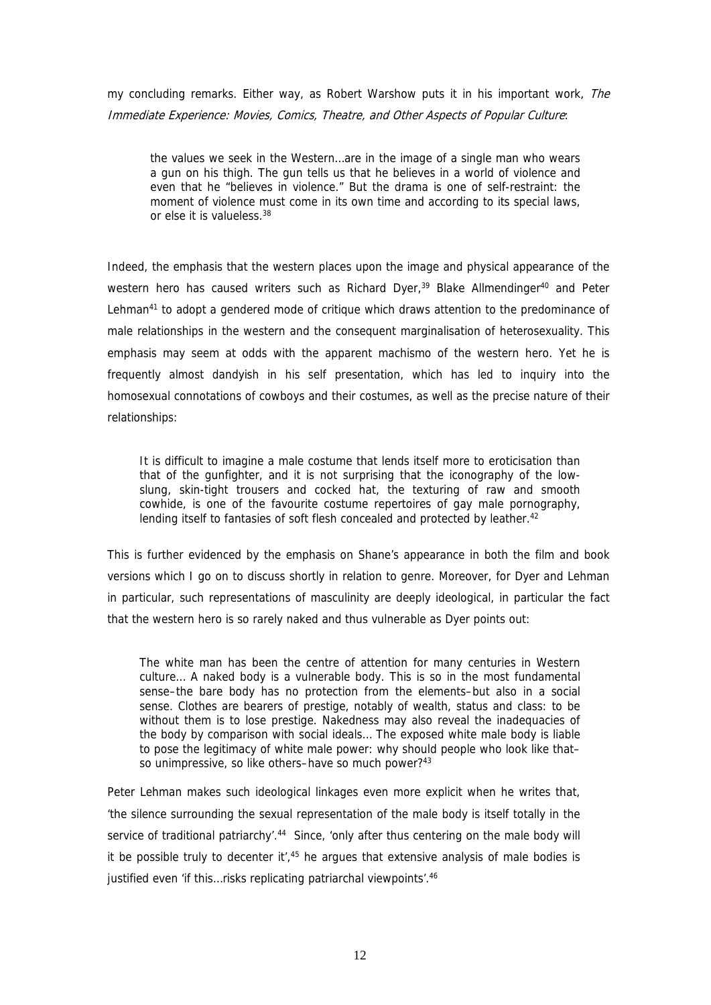my concluding remarks. Either way, as Robert Warshow puts it in his important work, The Immediate Experience: Movies, Comics, Theatre, and Other Aspects of Popular Culture:

the values we seek in the Western…are in the image of a single man who wears a gun on his thigh. The gun tells us that he believes in a world of violence and even that he "believes in violence." But the drama is one of self-restraint: the moment of violence must come in its own time and according to its special laws, or else it is valueless.38

Indeed, the emphasis that the western places upon the image and physical appearance of the western hero has caused writers such as Richard Dyer,<sup>39</sup> Blake Allmendinger<sup>40</sup> and Peter Lehman<sup>41</sup> to adopt a gendered mode of critique which draws attention to the predominance of male relationships in the western and the consequent marginalisation of heterosexuality. This emphasis may seem at odds with the apparent machismo of the western hero. Yet he is frequently almost dandyish in his self presentation, which has led to inquiry into the homosexual connotations of cowboys and their costumes, as well as the precise nature of their relationships:

It is difficult to imagine a male costume that lends itself more to eroticisation than that of the gunfighter, and it is not surprising that the iconography of the lowslung, skin-tight trousers and cocked hat, the texturing of raw and smooth cowhide, is one of the favourite costume repertoires of gay male pornography, lending itself to fantasies of soft flesh concealed and protected by leather.<sup>42</sup>

This is further evidenced by the emphasis on Shane's appearance in both the film and book versions which I go on to discuss shortly in relation to genre. Moreover, for Dyer and Lehman in particular, such representations of masculinity are deeply ideological, in particular the fact that the western hero is so rarely naked and thus vulnerable as Dyer points out:

The white man has been the centre of attention for many centuries in Western culture… A naked body is a vulnerable body. This is so in the most fundamental sense–the bare body has no protection from the elements–but also in a social sense. Clothes are bearers of prestige, notably of wealth, status and class: to be without them is to lose prestige. Nakedness may also reveal the inadequacies of the body by comparison with social ideals… The exposed white male body is liable to pose the legitimacy of white male power: why should people who look like that– so unimpressive, so like others–have so much power?<sup>43</sup>

Peter Lehman makes such ideological linkages even more explicit when he writes that, 'the silence surrounding the sexual representation of the male body is itself totally in the service of traditional patriarchy'.<sup>44</sup> Since, 'only after thus centering on the male body will it be possible truly to decenter it', $45$  he argues that extensive analysis of male bodies is justified even 'if this...risks replicating patriarchal viewpoints'.<sup>46</sup>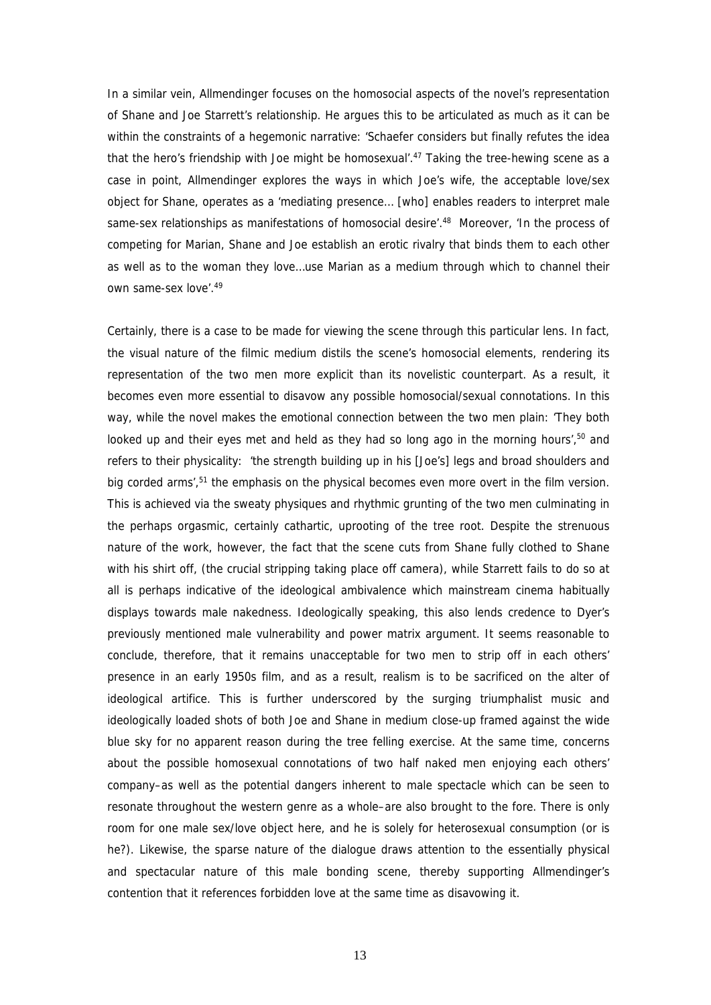In a similar vein, Allmendinger focuses on the homosocial aspects of the novel's representation of Shane and Joe Starrett's relationship. He argues this to be articulated as much as it can be within the constraints of a hegemonic narrative: 'Schaefer considers but finally refutes the idea that the hero's friendship with Joe might be homosexual'.<sup>47</sup> Taking the tree-hewing scene as a case in point, Allmendinger explores the ways in which Joe's wife, the acceptable love/sex object for Shane, operates as a 'mediating presence… [who] enables readers to interpret male same-sex relationships as manifestations of homosocial desire'.<sup>48</sup> Moreover, 'In the process of competing for Marian, Shane and Joe establish an erotic rivalry that binds them to each other as well as to the woman they love…use Marian as a medium through which to channel their own same-sex love'.49

Certainly, there is a case to be made for viewing the scene through this particular lens. In fact, the visual nature of the filmic medium distils the scene's homosocial elements, rendering its representation of the two men more explicit than its novelistic counterpart. As a result, it becomes even more essential to disavow any possible homosocial/sexual connotations. In this way, while the novel makes the emotional connection between the two men plain: 'They both looked up and their eyes met and held as they had so long ago in the morning hours',<sup>50</sup> and refers to their physicality: 'the strength building up in his [Joe's] legs and broad shoulders and big corded arms',<sup>51</sup> the emphasis on the physical becomes even more overt in the film version. This is achieved via the sweaty physiques and rhythmic grunting of the two men culminating in the perhaps orgasmic, certainly cathartic, uprooting of the tree root. Despite the strenuous nature of the work, however, the fact that the scene cuts from Shane fully clothed to Shane with his shirt off, (the crucial stripping taking place off camera), while Starrett fails to do so at all is perhaps indicative of the ideological ambivalence which mainstream cinema habitually displays towards male nakedness. Ideologically speaking, this also lends credence to Dyer's previously mentioned male vulnerability and power matrix argument. It seems reasonable to conclude, therefore, that it remains unacceptable for two men to strip off in each others' presence in an early 1950s film, and as a result, realism is to be sacrificed on the alter of ideological artifice. This is further underscored by the surging triumphalist music and ideologically loaded shots of both Joe and Shane in medium close-up framed against the wide blue sky for no apparent reason during the tree felling exercise. At the same time, concerns about the possible homosexual connotations of two half naked men enjoying each others' company–as well as the potential dangers inherent to male spectacle which can be seen to resonate throughout the western genre as a whole–are also brought to the fore. There is only room for one male sex/love object here, and he is solely for heterosexual consumption (or is he?). Likewise, the sparse nature of the dialogue draws attention to the essentially physical and spectacular nature of this male bonding scene, thereby supporting Allmendinger's contention that it references forbidden love at the same time as disavowing it.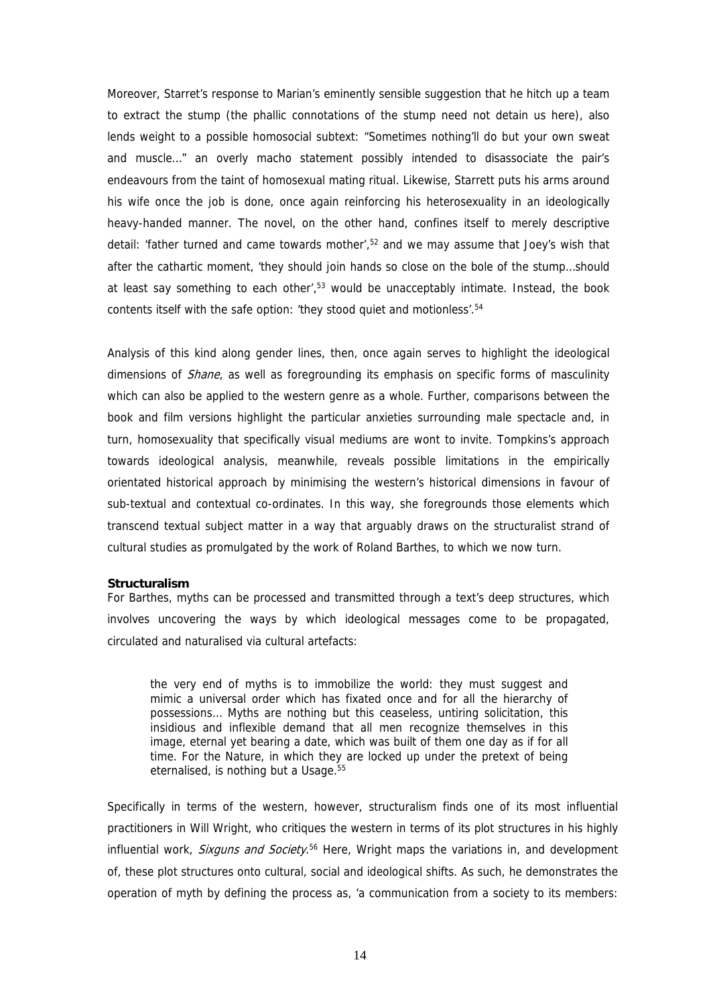Moreover, Starret's response to Marian's eminently sensible suggestion that he hitch up a team to extract the stump (the phallic connotations of the stump need not detain us here), also lends weight to a possible homosocial subtext: "Sometimes nothing'll do but your own sweat and muscle…" an overly macho statement possibly intended to disassociate the pair's endeavours from the taint of homosexual mating ritual. Likewise, Starrett puts his arms around his wife once the job is done, once again reinforcing his heterosexuality in an ideologically heavy-handed manner. The novel, on the other hand, confines itself to merely descriptive detail: 'father turned and came towards mother',52 and we may assume that Joey's wish that after the cathartic moment, 'they should join hands so close on the bole of the stump…should at least say something to each other',53 would be unacceptably intimate. Instead, the book contents itself with the safe option: 'they stood quiet and motionless'.<sup>54</sup>

Analysis of this kind along gender lines, then, once again serves to highlight the ideological dimensions of *Shane*, as well as foregrounding its emphasis on specific forms of masculinity which can also be applied to the western genre as a whole. Further, comparisons between the book and film versions highlight the particular anxieties surrounding male spectacle and, in turn, homosexuality that specifically visual mediums are wont to invite. Tompkins's approach towards ideological analysis, meanwhile, reveals possible limitations in the empirically orientated historical approach by minimising the western's historical dimensions in favour of sub-textual and contextual co-ordinates. In this way, she foregrounds those elements which transcend textual subject matter in a way that arguably draws on the structuralist strand of cultural studies as promulgated by the work of Roland Barthes, to which we now turn.

### **Structuralism**

For Barthes, myths can be processed and transmitted through a text's deep structures, which involves uncovering the ways by which ideological messages come to be propagated, circulated and naturalised via cultural artefacts:

the very end of myths is to immobilize the world: they must suggest and mimic a universal order which has fixated once and for all the hierarchy of possessions… Myths are nothing but this ceaseless, untiring solicitation, this insidious and inflexible demand that all men recognize themselves in this image, eternal yet bearing a date, which was built of them one day as if for all time. For the Nature, in which they are locked up under the pretext of being eternalised, is nothing but a Usage.<sup>55</sup>

Specifically in terms of the western, however, structuralism finds one of its most influential practitioners in Will Wright, who critiques the western in terms of its plot structures in his highly influential work, Sixguns and Society.<sup>56</sup> Here, Wright maps the variations in, and development of, these plot structures onto cultural, social and ideological shifts. As such, he demonstrates the operation of myth by defining the process as, 'a communication from a society to its members: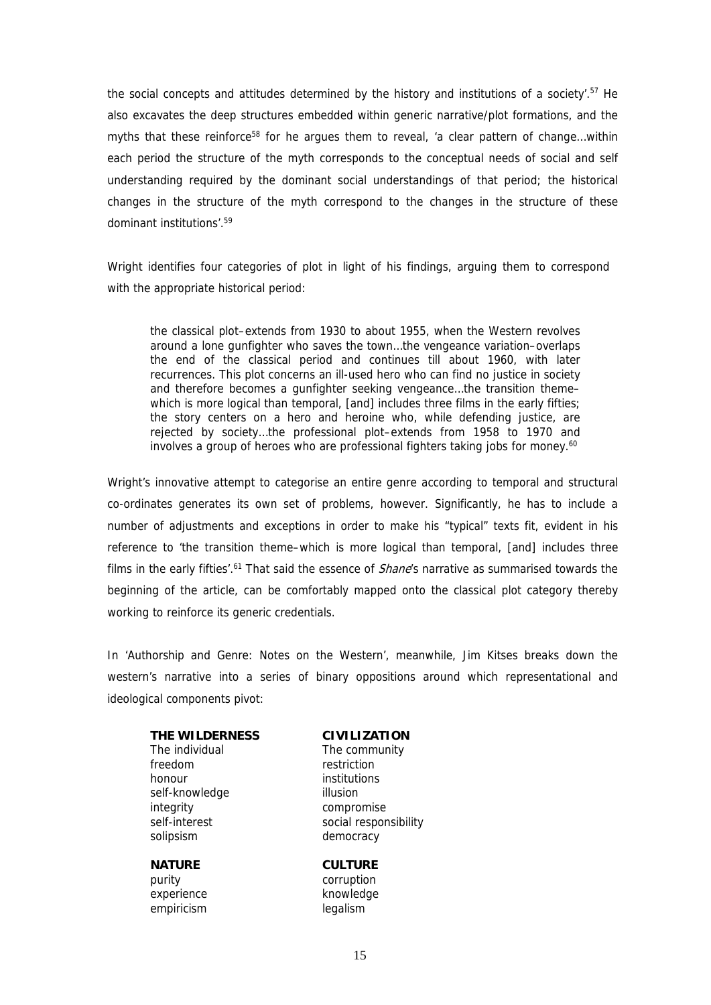the social concepts and attitudes determined by the history and institutions of a society'.<sup>57</sup> He also excavates the deep structures embedded within generic narrative/plot formations, and the myths that these reinforce<sup>58</sup> for he argues them to reveal, 'a clear pattern of change...within each period the structure of the myth corresponds to the conceptual needs of social and self understanding required by the dominant social understandings of that period; the historical changes in the structure of the myth correspond to the changes in the structure of these dominant institutions'.59

Wright identifies four categories of plot in light of his findings, arguing them to correspond with the appropriate historical period:

the classical plot–extends from 1930 to about 1955, when the Western revolves around a lone gunfighter who saves the town…the vengeance variation–overlaps the end of the classical period and continues till about 1960, with later recurrences. This plot concerns an ill-used hero who can find no justice in society and therefore becomes a gunfighter seeking vengeance…the transition theme– which is more logical than temporal, [and] includes three films in the early fifties; the story centers on a hero and heroine who, while defending justice, are rejected by society…the professional plot–extends from 1958 to 1970 and involves a group of heroes who are professional fighters taking jobs for money.<sup>60</sup>

Wright's innovative attempt to categorise an entire genre according to temporal and structural co-ordinates generates its own set of problems, however. Significantly, he has to include a number of adjustments and exceptions in order to make his "typical" texts fit, evident in his reference to 'the transition theme–which is more logical than temporal, [and] includes three films in the early fifties'.<sup>61</sup> That said the essence of *Shane'*s narrative as summarised towards the beginning of the article, can be comfortably mapped onto the classical plot category thereby working to reinforce its generic credentials.

In 'Authorship and Genre: Notes on the Western', meanwhile, Jim Kitses breaks down the western's narrative into a series of binary oppositions around which representational and ideological components pivot:

**THE WILDERNESS CIVILIZATION**  The individual The community freedom restriction honour institutions self-knowledge illusion integrity compromise solipsism democracy

# **NATURE CULTURE**  purity corruption experience knowledge empiricism legalism

self-interest social responsibility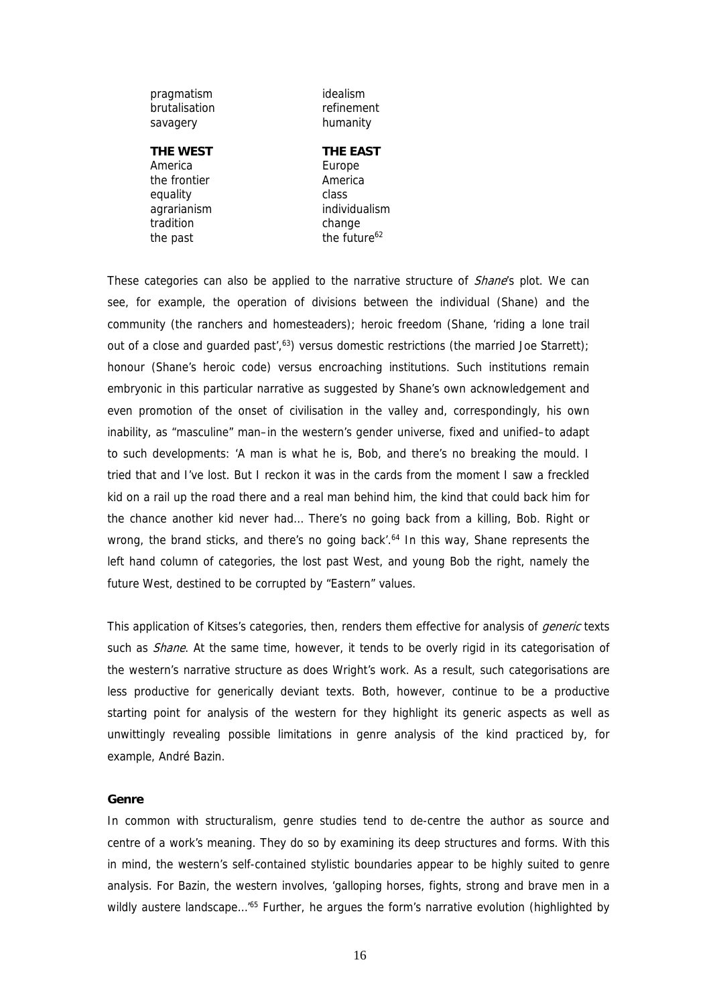pragmatism idealism **brutalisation** refinement savagery **humanity** 

# THE WEST **THE EAST**

America **Europe** the frontier and america equality class tradition change

agrarianism individualism the past  $\mu$  the future<sup>62</sup>

These categories can also be applied to the narrative structure of *Shane's* plot. We can see, for example, the operation of divisions between the individual (Shane) and the community (the ranchers and homesteaders); heroic freedom (Shane, 'riding a lone trail out of a close and guarded past',<sup>63</sup>) versus domestic restrictions (the married Joe Starrett); honour (Shane's heroic code) versus encroaching institutions. Such institutions remain embryonic in this particular narrative as suggested by Shane's own acknowledgement and even promotion of the onset of civilisation in the valley and, correspondingly, his own inability, as "masculine" man–in the western's gender universe, fixed and unified–to adapt to such developments: 'A man is what he is, Bob, and there's no breaking the mould. I tried that and I've lost. But I reckon it was in the cards from the moment I saw a freckled kid on a rail up the road there and a real man behind him, the kind that could back him for the chance another kid never had… There's no going back from a killing, Bob. Right or wrong, the brand sticks, and there's no going back'.<sup>64</sup> In this way, Shane represents the left hand column of categories, the lost past West, and young Bob the right, namely the future West, destined to be corrupted by "Eastern" values.

This application of Kitses's categories, then, renders them effective for analysis of *generic* texts such as *Shane*. At the same time, however, it tends to be overly rigid in its categorisation of the western's narrative structure as does Wright's work. As a result, such categorisations are less productive for generically deviant texts. Both, however, continue to be a productive starting point for analysis of the western for they highlight its generic aspects as well as unwittingly revealing possible limitations in genre analysis of the kind practiced by, for example, André Bazin.

# **Genre**

In common with structuralism, genre studies tend to de-centre the author as source and centre of a work's meaning. They do so by examining its deep structures and forms. With this in mind, the western's self-contained stylistic boundaries appear to be highly suited to genre analysis. For Bazin, the western involves, 'galloping horses, fights, strong and brave men in a wildly austere landscape...<sup>65</sup> Further, he argues the form's narrative evolution (highlighted by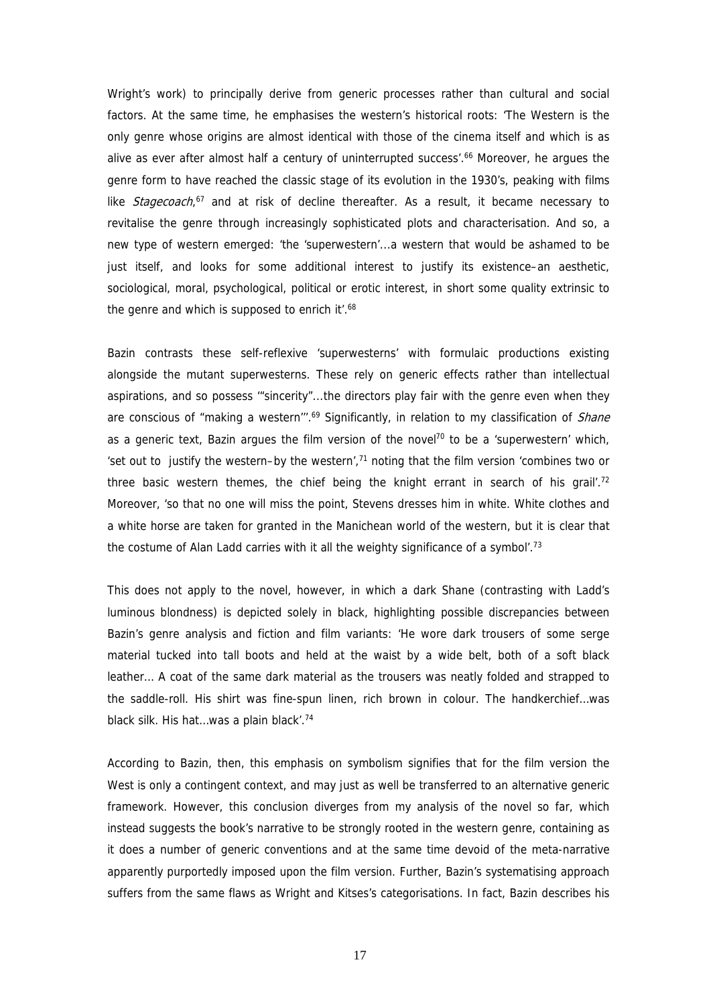Wright's work) to principally derive from generic processes rather than cultural and social factors. At the same time, he emphasises the western's historical roots: 'The Western is the only genre whose origins are almost identical with those of the cinema itself and which is as alive as ever after almost half a century of uninterrupted success'.<sup>66</sup> Moreover, he argues the genre form to have reached the classic stage of its evolution in the 1930's, peaking with films like Stagecoach,<sup>67</sup> and at risk of decline thereafter. As a result, it became necessary to revitalise the genre through increasingly sophisticated plots and characterisation. And so, a new type of western emerged: 'the 'superwestern'...a western that would be ashamed to be just itself, and looks for some additional interest to justify its existence–an aesthetic, sociological, moral, psychological, political or erotic interest, in short some quality extrinsic to the genre and which is supposed to enrich it'.<sup>68</sup>

Bazin contrasts these self-reflexive 'superwesterns' with formulaic productions existing alongside the mutant superwesterns. These rely on generic effects rather than intellectual aspirations, and so possess '"sincerity"...the directors play fair with the genre even when they are conscious of "making a western"<sup>'</sup>.<sup>69</sup> Significantly, in relation to my classification of *Shane* as a generic text, Bazin argues the film version of the novel<sup>70</sup> to be a 'superwestern' which, 'set out to justify the western-by the western', $71$  noting that the film version 'combines two or three basic western themes, the chief being the knight errant in search of his grail'.<sup>72</sup> Moreover, 'so that no one will miss the point, Stevens dresses him in white. White clothes and a white horse are taken for granted in the Manichean world of the western, but it is clear that the costume of Alan Ladd carries with it all the weighty significance of a symbol'.<sup>73</sup>

This does not apply to the novel, however, in which a dark Shane (contrasting with Ladd's luminous blondness) is depicted solely in black, highlighting possible discrepancies between Bazin's genre analysis and fiction and film variants: 'He wore dark trousers of some serge material tucked into tall boots and held at the waist by a wide belt, both of a soft black leather… A coat of the same dark material as the trousers was neatly folded and strapped to the saddle-roll. His shirt was fine-spun linen, rich brown in colour. The handkerchief…was black silk. His hat...was a plain black'.<sup>74</sup>

According to Bazin, then, this emphasis on symbolism signifies that for the film version the West is only a contingent context, and may just as well be transferred to an alternative generic framework. However, this conclusion diverges from my analysis of the novel so far, which instead suggests the book's narrative to be strongly rooted in the western genre, containing as it does a number of generic conventions and at the same time devoid of the meta-narrative apparently purportedly imposed upon the film version. Further, Bazin's systematising approach suffers from the same flaws as Wright and Kitses's categorisations. In fact, Bazin describes his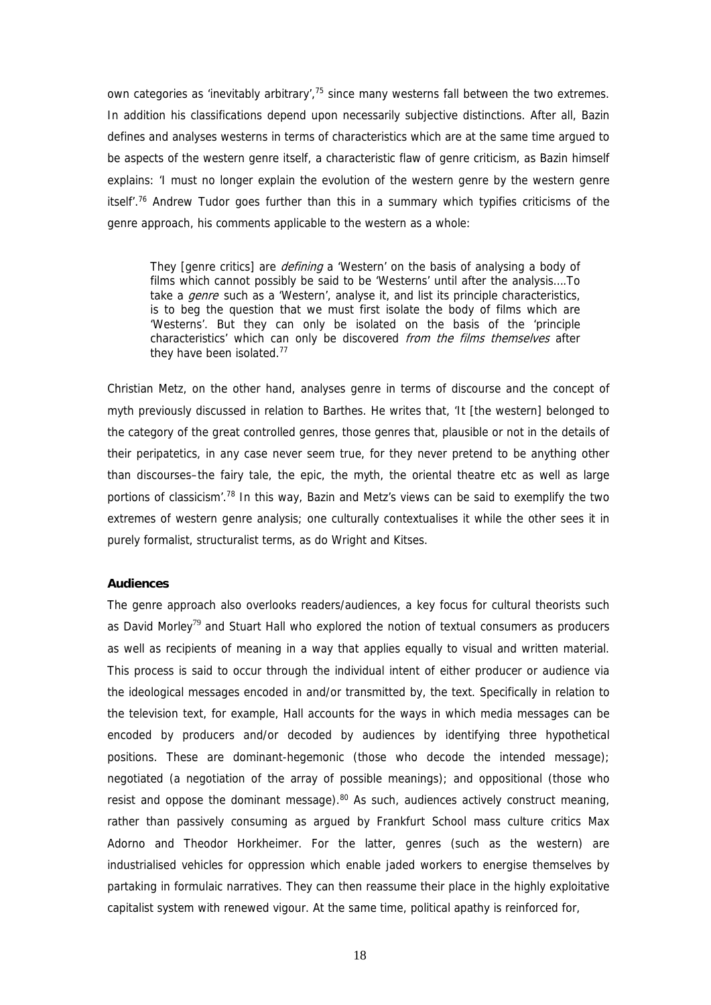own categories as 'inevitably arbitrary', $75$  since many westerns fall between the two extremes. In addition his classifications depend upon necessarily subjective distinctions. After all, Bazin defines and analyses westerns in terms of characteristics which are at the same time argued to be aspects of the western genre itself, a characteristic flaw of genre criticism, as Bazin himself explains: 'I must no longer explain the evolution of the western genre by the western genre itself<sup>'.76</sup> Andrew Tudor goes further than this in a summary which typifies criticisms of the genre approach, his comments applicable to the western as a whole:

They [genre critics] are *defining* a 'Western' on the basis of analysing a body of films which cannot possibly be said to be 'Westerns' until after the analysis….To take a *genre* such as a 'Western', analyse it, and list its principle characteristics, is to beg the question that we must first isolate the body of films which are 'Westerns'. But they can only be isolated on the basis of the 'principle characteristics' which can only be discovered *from the films themselves* after they have been isolated.<sup>77</sup>

Christian Metz, on the other hand, analyses genre in terms of discourse and the concept of myth previously discussed in relation to Barthes. He writes that, 'It [the western] belonged to the category of the great controlled genres, those genres that, plausible or not in the details of their peripatetics, in any case never seem true, for they never pretend to be anything other than discourses–the fairy tale, the epic, the myth, the oriental theatre etc as well as large portions of classicism'.78 In this way, Bazin and Metz's views can be said to exemplify the two extremes of western genre analysis; one culturally contextualises it while the other sees it in purely formalist, structuralist terms, as do Wright and Kitses.

# **Audiences**

The genre approach also overlooks readers/audiences, a key focus for cultural theorists such as David Morley<sup>79</sup> and Stuart Hall who explored the notion of textual consumers as producers as well as recipients of meaning in a way that applies equally to visual and written material. This process is said to occur through the individual intent of either producer or audience via the ideological messages encoded in and/or transmitted by, the text. Specifically in relation to the television text, for example, Hall accounts for the ways in which media messages can be encoded by producers and/or decoded by audiences by identifying three hypothetical positions. These are dominant-hegemonic (those who decode the intended message); negotiated (a negotiation of the array of possible meanings); and oppositional (those who resist and oppose the dominant message).<sup>80</sup> As such, audiences actively construct meaning, rather than passively consuming as argued by Frankfurt School mass culture critics Max Adorno and Theodor Horkheimer. For the latter, genres (such as the western) are industrialised vehicles for oppression which enable jaded workers to energise themselves by partaking in formulaic narratives. They can then reassume their place in the highly exploitative capitalist system with renewed vigour. At the same time, political apathy is reinforced for,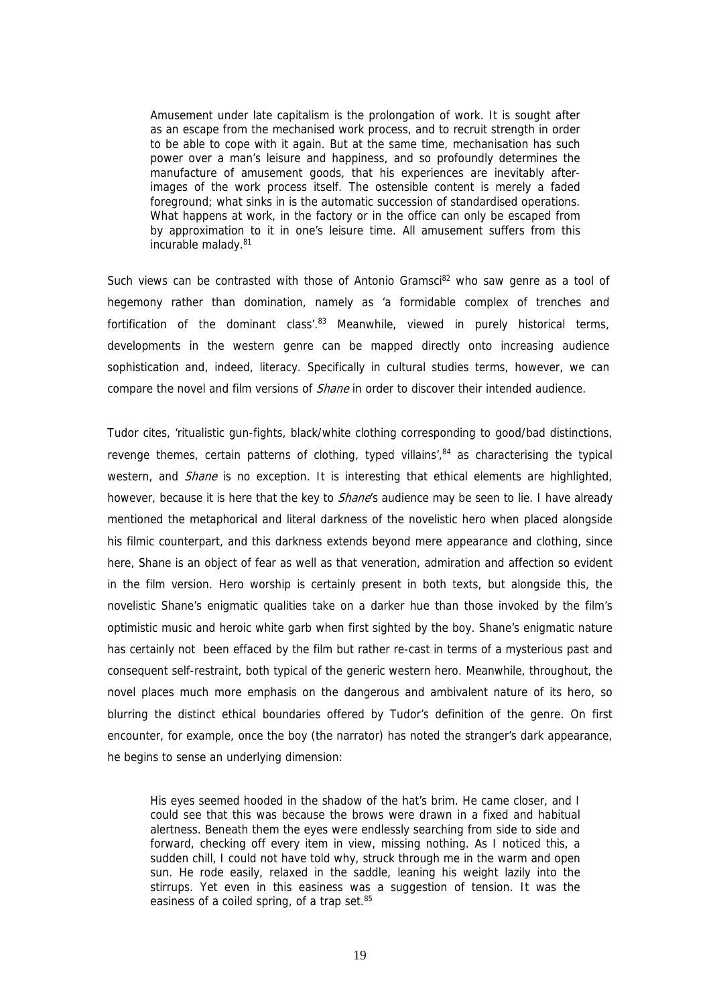Amusement under late capitalism is the prolongation of work. It is sought after as an escape from the mechanised work process, and to recruit strength in order to be able to cope with it again. But at the same time, mechanisation has such power over a man's leisure and happiness, and so profoundly determines the manufacture of amusement goods, that his experiences are inevitably afterimages of the work process itself. The ostensible content is merely a faded foreground; what sinks in is the automatic succession of standardised operations. What happens at work, in the factory or in the office can only be escaped from by approximation to it in one's leisure time. All amusement suffers from this incurable malady.81

Such views can be contrasted with those of Antonio Gramsci<sup>82</sup> who saw genre as a tool of hegemony rather than domination, namely as 'a formidable complex of trenches and fortification of the dominant class<sup>'83</sup> Meanwhile, viewed in purely historical terms, developments in the western genre can be mapped directly onto increasing audience sophistication and, indeed, literacy. Specifically in cultural studies terms, however, we can compare the novel and film versions of Shane in order to discover their intended audience.

Tudor cites, 'ritualistic gun-fights, black/white clothing corresponding to good/bad distinctions, revenge themes, certain patterns of clothing, typed villains',<sup>84</sup> as characterising the typical western, and *Shane* is no exception. It is interesting that ethical elements are highlighted, however, because it is here that the key to *Shane's* audience may be seen to lie. I have already mentioned the metaphorical and literal darkness of the novelistic hero when placed alongside his filmic counterpart, and this darkness extends beyond mere appearance and clothing, since here, Shane is an object of fear as well as that veneration, admiration and affection so evident in the film version. Hero worship is certainly present in both texts, but alongside this, the novelistic Shane's enigmatic qualities take on a darker hue than those invoked by the film's optimistic music and heroic white garb when first sighted by the boy. Shane's enigmatic nature has certainly not been effaced by the film but rather re-cast in terms of a mysterious past and consequent self-restraint, both typical of the generic western hero. Meanwhile, throughout, the novel places much more emphasis on the dangerous and ambivalent nature of its hero, so blurring the distinct ethical boundaries offered by Tudor's definition of the genre. On first encounter, for example, once the boy (the narrator) has noted the stranger's dark appearance, he begins to sense an underlying dimension:

His eyes seemed hooded in the shadow of the hat's brim. He came closer, and I could see that this was because the brows were drawn in a fixed and habitual alertness. Beneath them the eyes were endlessly searching from side to side and forward, checking off every item in view, missing nothing. As I noticed this, a sudden chill, I could not have told why, struck through me in the warm and open sun. He rode easily, relaxed in the saddle, leaning his weight lazily into the stirrups. Yet even in this easiness was a suggestion of tension. It was the easiness of a coiled spring, of a trap set.<sup>85</sup>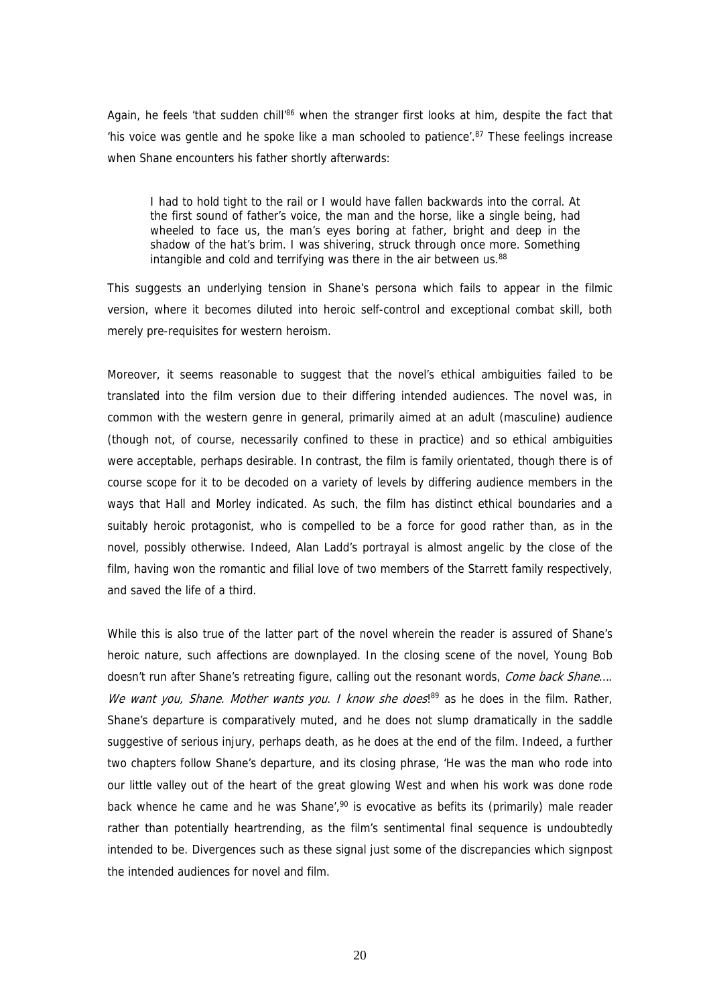Again, he feels 'that sudden chill<sup>86</sup> when the stranger first looks at him, despite the fact that 'his voice was gentle and he spoke like a man schooled to patience'.<sup>87</sup> These feelings increase when Shane encounters his father shortly afterwards:

I had to hold tight to the rail or I would have fallen backwards into the corral. At the first sound of father's voice, the man and the horse, like a single being, had wheeled to face us, the man's eyes boring at father, bright and deep in the shadow of the hat's brim. I was shivering, struck through once more. Something intangible and cold and terrifying was there in the air between us.<sup>88</sup>

This suggests an underlying tension in Shane's persona which fails to appear in the filmic version, where it becomes diluted into heroic self-control and exceptional combat skill, both merely pre-requisites for western heroism.

Moreover, it seems reasonable to suggest that the novel's ethical ambiguities failed to be translated into the film version due to their differing intended audiences. The novel was, in common with the western genre in general, primarily aimed at an adult (masculine) audience (though not, of course, necessarily confined to these in practice) and so ethical ambiguities were acceptable, perhaps desirable. In contrast, the film is family orientated, though there is of course scope for it to be decoded on a variety of levels by differing audience members in the ways that Hall and Morley indicated. As such, the film has distinct ethical boundaries and a suitably heroic protagonist, who is compelled to be a force for good rather than, as in the novel, possibly otherwise. Indeed, Alan Ladd's portrayal is almost angelic by the close of the film, having won the romantic and filial love of two members of the Starrett family respectively, and saved the life of a third.

While this is also true of the latter part of the novel wherein the reader is assured of Shane's heroic nature, such affections are downplayed. In the closing scene of the novel, Young Bob doesn't run after Shane's retreating figure, calling out the resonant words, Come back Shane.... We want you, Shane. Mother wants you. I know she does!<sup>89</sup> as he does in the film. Rather, Shane's departure is comparatively muted, and he does not slump dramatically in the saddle suggestive of serious injury, perhaps death, as he does at the end of the film. Indeed, a further two chapters follow Shane's departure, and its closing phrase, 'He was the man who rode into our little valley out of the heart of the great glowing West and when his work was done rode back whence he came and he was Shane', $90$  is evocative as befits its (primarily) male reader rather than potentially heartrending, as the film's sentimental final sequence is undoubtedly intended to be. Divergences such as these signal just some of the discrepancies which signpost the intended audiences for novel and film.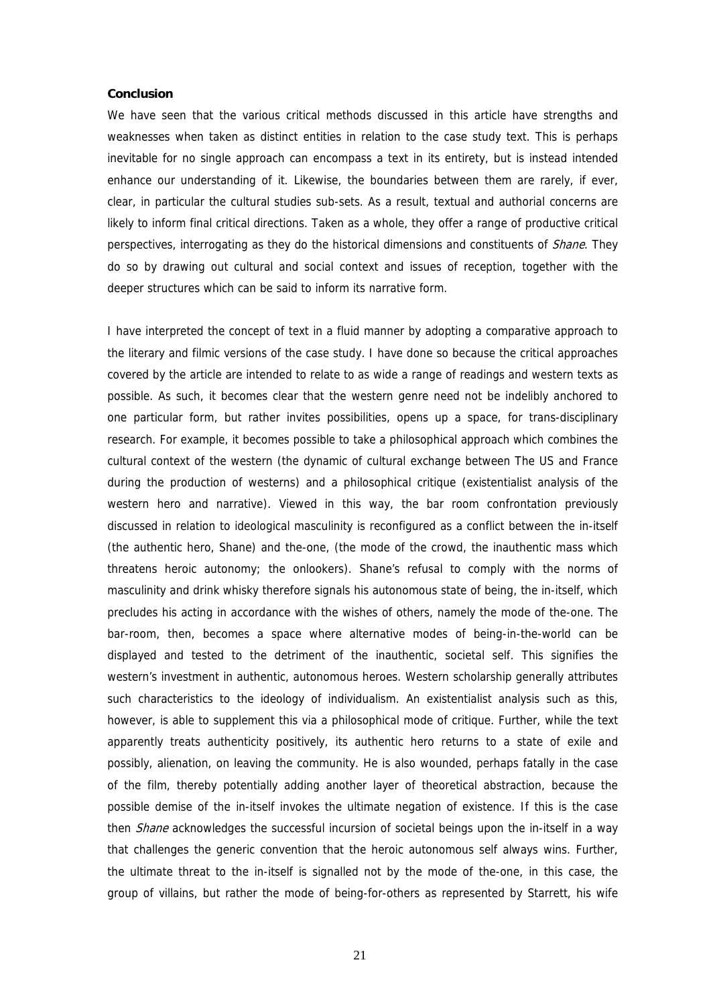### **Conclusion**

We have seen that the various critical methods discussed in this article have strengths and weaknesses when taken as distinct entities in relation to the case study text. This is perhaps inevitable for no single approach can encompass a text in its entirety, but is instead intended enhance our understanding of it. Likewise, the boundaries between them are rarely, if ever, clear, in particular the cultural studies sub-sets. As a result, textual and authorial concerns are likely to inform final critical directions. Taken as a whole, they offer a range of productive critical perspectives, interrogating as they do the historical dimensions and constituents of *Shane*. They do so by drawing out cultural and social context and issues of reception, together with the deeper structures which can be said to inform its narrative form.

I have interpreted the concept of text in a fluid manner by adopting a comparative approach to the literary and filmic versions of the case study. I have done so because the critical approaches covered by the article are intended to relate to as wide a range of readings and western texts as possible. As such, it becomes clear that the western genre need not be indelibly anchored to one particular form, but rather invites possibilities, opens up a space, for trans-disciplinary research. For example, it becomes possible to take a philosophical approach which combines the cultural context of the western (the dynamic of cultural exchange between The US and France during the production of westerns) and a philosophical critique (existentialist analysis of the western hero and narrative). Viewed in this way, the bar room confrontation previously discussed in relation to ideological masculinity is reconfigured as a conflict between the in-itself (the authentic hero, Shane) and the-one, (the mode of the crowd, the inauthentic mass which threatens heroic autonomy; the onlookers). Shane's refusal to comply with the norms of masculinity and drink whisky therefore signals his autonomous state of being, the in-itself, which precludes his acting in accordance with the wishes of others, namely the mode of the-one. The bar-room, then, becomes a space where alternative modes of being-in-the-world can be displayed and tested to the detriment of the inauthentic, societal self. This signifies the western's investment in authentic, autonomous heroes. Western scholarship generally attributes such characteristics to the ideology of individualism. An existentialist analysis such as this, however, is able to supplement this via a philosophical mode of critique. Further, while the text apparently treats authenticity positively, its authentic hero returns to a state of exile and possibly, alienation, on leaving the community. He is also wounded, perhaps fatally in the case of the film, thereby potentially adding another layer of theoretical abstraction, because the possible demise of the in-itself invokes the ultimate negation of existence. If this is the case then Shane acknowledges the successful incursion of societal beings upon the in-itself in a way that challenges the generic convention that the heroic autonomous self always wins. Further, the ultimate threat to the in-itself is signalled not by the mode of the-one, in this case, the group of villains, but rather the mode of being-for-others as represented by Starrett, his wife

21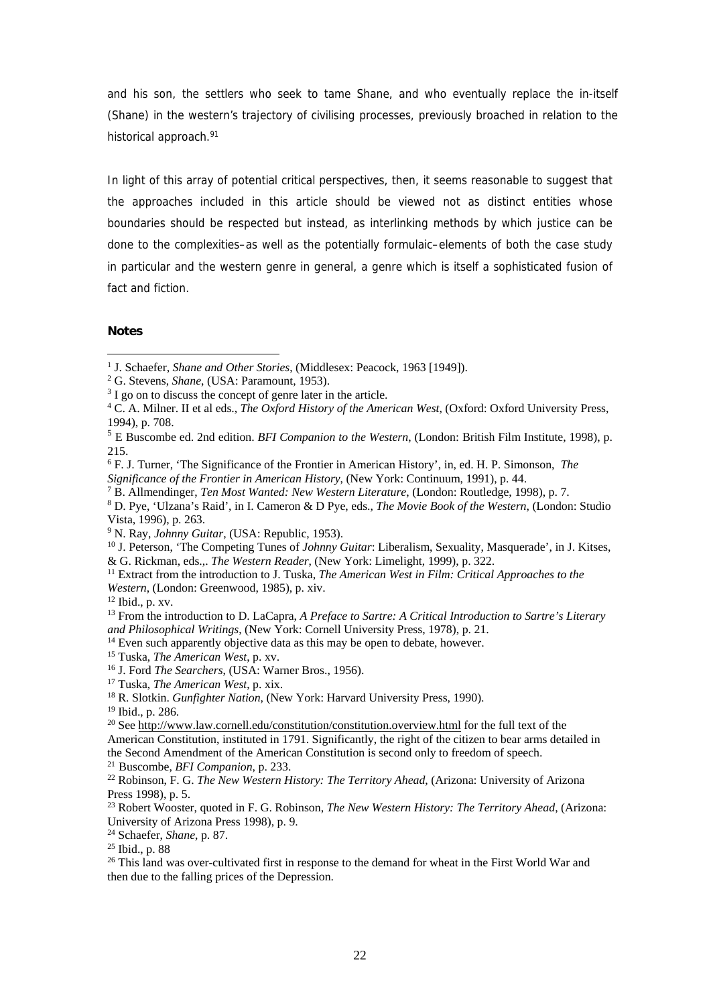and his son, the settlers who seek to tame Shane, and who eventually replace the in-itself (Shane) in the western's trajectory of civilising processes, previously broached in relation to the historical approach.<sup>91</sup>

In light of this array of potential critical perspectives, then, it seems reasonable to suggest that the approaches included in this article should be viewed not as distinct entities whose boundaries should be respected but instead, as interlinking methods by which justice can be done to the complexities–as well as the potentially formulaic–elements of both the case study in particular and the western genre in general, a genre which is itself a sophisticated fusion of fact and fiction.

# **Notes**

1

19 Ibid., p. 286.

<sup>21</sup> Buscombe, *BFI Companion*, p. 233.

<sup>&</sup>lt;sup>1</sup> J. Schaefer, *Shane and Other Stories*, (Middlesex: Peacock, 1963 [1949]).

<sup>&</sup>lt;sup>2</sup> G. Stevens, *Shane*, (USA: Paramount, 1953).

<sup>&</sup>lt;sup>3</sup> I go on to discuss the concept of genre later in the article.

<sup>4</sup> C. A. Milner. II et al eds., *The Oxford History of the American West*, (Oxford: Oxford University Press, 1994), p. 708.

<sup>5</sup> E Buscombe ed. 2nd edition. *BFI Companion to the Western*, (London: British Film Institute, 1998), p. 215.

<sup>6</sup> F. J. Turner, 'The Significance of the Frontier in American History', in, ed. H. P. Simonson, *The Significance of the Frontier in American History*, (New York: Continuum, 1991), p. 44. 7

B. Allmendinger, *Ten Most Wanted: New Western Literature*, (London: Routledge, 1998), p. 7. 8

D. Pye, 'Ulzana's Raid', in I. Cameron & D Pye, eds., *The Movie Book of the Western*, (London: Studio Vista, 1996), p. 263.

<sup>&</sup>lt;sup>9</sup> N. Ray, *Johnny Guitar*, (USA: Republic, 1953).

<sup>&</sup>lt;sup>10</sup> J. Peterson, 'The Competing Tunes of *Johnny Guitar*: Liberalism, Sexuality, Masquerade', in J. Kitses, & G. Rickman, eds., The Western Reader, (New York: Limelight, 1999), p. 322.

<sup>&</sup>lt;sup>11</sup> Extract from the introduction to J. Tuska, *The American West in Film: Critical Approaches to the Western*, (London: Greenwood, 1985), p. xiv. 12 Ibid., p. xv.

<sup>&</sup>lt;sup>13</sup> From the introduction to D. LaCapra, *A Preface to Sartre: A Critical Introduction to Sartre's Literary and Philosophical Writings, (New York: Cornell University Press, 1978), p. 21.* 

<sup>&</sup>lt;sup>14</sup> Even such apparently objective data as this may be open to debate, however.

<sup>&</sup>lt;sup>15</sup> Tuska, *The American West*, p. xv.<br><sup>16</sup> J. Ford *The Searchers*, (USA: Warner Bros., 1956).<br><sup>17</sup> Tuska, *The American West*, p. xix.<br><sup>18</sup> R. Slotkin. *Gunfighter Nation*, (New York: Harvard University Press, 1990).

<sup>&</sup>lt;sup>20</sup> See http://www.law.cornell.edu/constitution/constitution.overview.html for the full text of the American Constitution, instituted in 1791. Significantly, the right of the citizen to bear arms detailed in the Second Amendment of the American Constitution is second only to freedom of speech.

<sup>22</sup> Robinson, F. G. *The New Western History: The Territory Ahead*, (Arizona: University of Arizona Press 1998), p. 5.

<sup>23</sup> Robert Wooster, quoted in F. G. Robinson, *The New Western History: The Territory Ahead*, (Arizona: University of Arizona Press 1998), p. 9.

<sup>24</sup> Schaefer, *Shane*, p. 87. 25 Ibid., p. 88

<sup>&</sup>lt;sup>26</sup> This land was over-cultivated first in response to the demand for wheat in the First World War and then due to the falling prices of the Depression.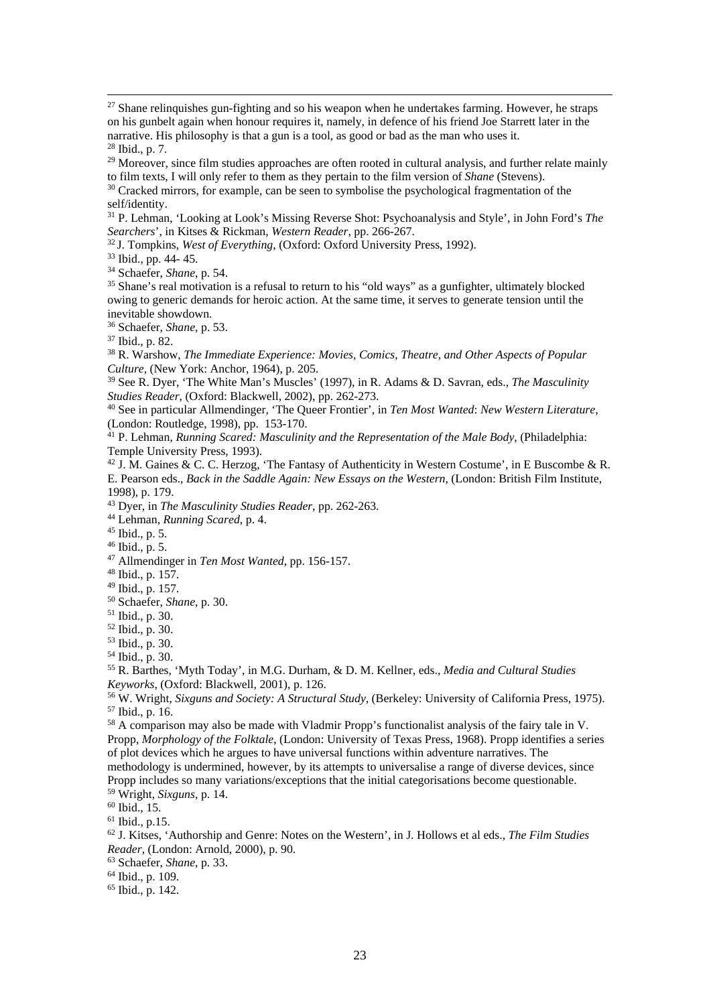$27$  Shane relinquishes gun-fighting and so his weapon when he undertakes farming. However, he straps on his gunbelt again when honour requires it, namely, in defence of his friend Joe Starrett later in the narrative. His philosophy is that a gun is a tool, as good or bad as the man who uses it. 28 Ibid., p. 7.

<sup>29</sup> Moreover, since film studies approaches are often rooted in cultural analysis, and further relate mainly to film texts, I will only refer to them as they pertain to the film version of *Shane* (Stevens).

<sup>30</sup> Cracked mirrors, for example, can be seen to symbolise the psychological fragmentation of the self/identity.

31 P. Lehman, 'Looking at Look's Missing Reverse Shot: Psychoanalysis and Style', in John Ford's *The* 

<sup>32</sup> J. Tompkins, *West of Everything*, (Oxford: Oxford University Press, 1992).<br><sup>33</sup> Ibid., pp. 44- 45.<br><sup>34</sup> Schaefer, *Shane*, p. 54.

<sup>35</sup> Shane's real motivation is a refusal to return to his "old ways" as a gunfighter, ultimately blocked owing to generic demands for heroic action. At the same time, it serves to generate tension until the inevitable showdown.

36 Schaefer, *Shane*, p. 53. 37 Ibid., p. 82.

38 R. Warshow, *The Immediate Experience: Movies, Comics, Theatre, and Other Aspects of Popular Culture*, (New York: Anchor, 1964), p. 205.

39 See R. Dyer, 'The White Man's Muscles' (1997), in R. Adams & D. Savran, eds., *The Masculinity Studies Reader*, (Oxford: Blackwell, 2002), pp. 262-273. 40 See in particular Allmendinger, 'The Queer Frontier', in *Ten Most Wanted*: *New Western Literature*,

(London: Routledge, 1998), pp. 153-170.

41 P. Lehman, *Running Scared: Masculinity and the Representation of the Male Body*, (Philadelphia: Temple University Press, 1993).

42 J. M. Gaines & C. C. Herzog, 'The Fantasy of Authenticity in Western Costume', in E Buscombe & R. E. Pearson eds., *Back in the Saddle Again: New Essays on the Western*, (London: British Film Institute, 1998), p. 179.

43 Dyer, in *The Masculinity Studies Reader*, pp. 262-263. 44 Lehman, *Running Scared*, p. 4. 45 Ibid., p. 5.

46 Ibid., p. 5.

47 Allmendinger in *Ten Most Wanted*, pp. 156-157. 48 Ibid., p. 157.

49 Ibid., p. 157.

50 Schaefer, *Shane*, p. 30. 51 Ibid., p. 30.

52 Ibid., p. 30.

53 Ibid., p. 30.

54 Ibid., p. 30.

55 R. Barthes, 'Myth Today', in M.G. Durham, & D. M. Kellner, eds., *Media and Cultural Studies* 

*Keyworks*, (Oxford: Blackwell, 2001), p. 126.<br><sup>56</sup> W. Wright, *Sixguns and Society: A Structural Study*, (Berkeley: University of California Press, 1975).<br><sup>57</sup> Ibid., p. 16.

<sup>58</sup> A comparison may also be made with Vladmir Propp's functionalist analysis of the fairy tale in V. Propp, *Morphology of the Folktale*, (London: University of Texas Press, 1968). Propp identifies a series of plot devices which he argues to have universal functions within adventure narratives. The

methodology is undermined, however, by its attempts to universalise a range of diverse devices, since Propp includes so many variations/exceptions that the initial categorisations become questionable. 59 Wright, *Sixguns*, p. 14. 60 Ibid., 15.

61 Ibid., p.15.

62 J. Kitses, 'Authorship and Genre: Notes on the Western', in J. Hollows et al eds., *The Film Studies Reader*, (London: Arnold, 2000), p. 90. 63 Schaefer, *Shane*, p. 33. 64 Ibid., p. 109.

65 Ibid., p. 142.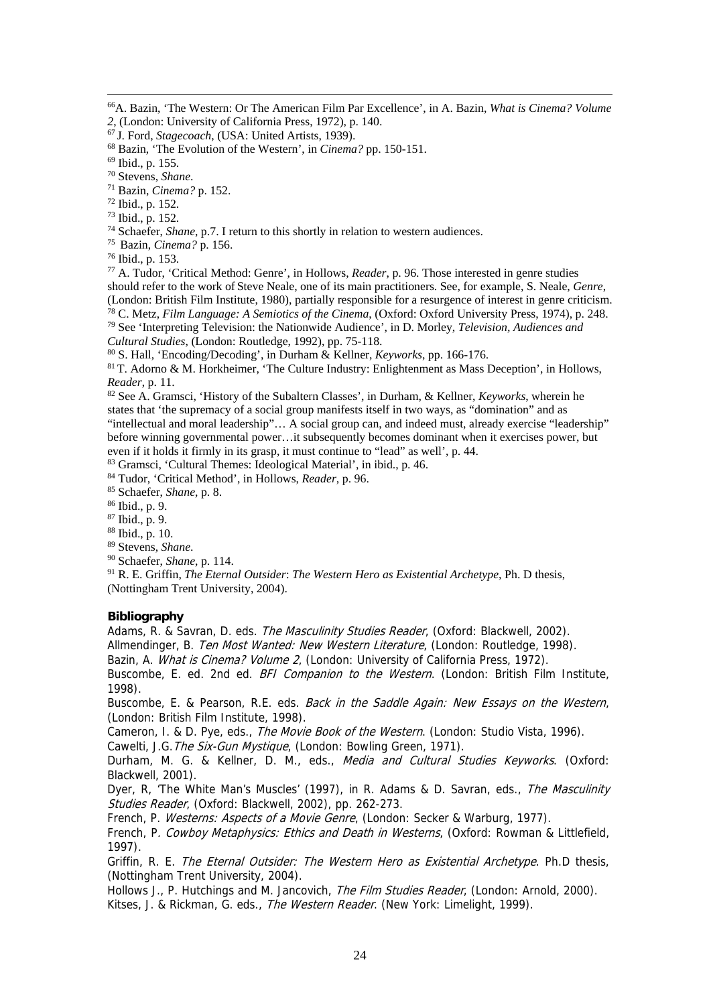- 66A. Bazin, 'The Western: Or The American Film Par Excellence', in A. Bazin, *What is Cinema? Volume*
- 2, (London: University of California Press, 1972), p. 140.<br><sup>67</sup> J. Ford, *Stagecoach*, (USA: United Artists, 1939).
- <sup>68</sup> Bazin, 'The Evolution of the Western', in *Cinema*? pp. 150-151.<br><sup>69</sup> Ibid., p. 155.<br><sup>70</sup> Stevens, *Shane*.
- 

70 Stevens, *Shane*. 71 Bazin, *Cinema?* p. 152. 72 Ibid., p. 152.

73 Ibid., p. 152.

74 Schaefer, *Shane*, p.7. I return to this shortly in relation to western audiences. 75 Bazin, *Cinema?* p. 156. 76 Ibid., p. 153.

77 A. Tudor, 'Critical Method: Genre', in Hollows, *Reader*, p. 96. Those interested in genre studies should refer to the work of Steve Neale, one of its main practitioners. See, for example, S. Neale, *Genre*, (London: British Film Institute, 1980), partially responsible for a resurgence of interest in genre criticism. <sup>78</sup> C. Metz, *Film Language: A Semiotics of the Cinema*, (Oxford: Oxford University Press, 1974), p. 248.<br><sup>79</sup> See 'Interpreting Television: the Nationwide Audience', in D. Morley, *Television*, *Audiences and Cultural S* 

<sup>80</sup> S. Hall, 'Encoding/Decoding', in Durham & Kellner, *Keyworks*, pp. 166-176.<br><sup>81</sup> T. Adorno & M. Horkheimer, 'The Culture Industry: Enlightenment as Mass Deception', in Hollows, *Reader*, p. 11.

<sup>82</sup> See A. Gramsci, 'History of the Subaltern Classes', in Durham, & Kellner, *Keyworks*, wherein he states that 'the supremacy of a social group manifests itself in two ways, as "domination" and as "intellectual and moral leadership"… A social group can, and indeed must, already exercise "leadership" before winning governmental power...it subsequently becomes dominant when it exercises power, but even if it holds it firmly in its grasp, it must continue to "lead" as well', p. 44.<br><sup>83</sup> Gramsci, 'Cultural Themes: Ideological Material', in ibid., p. 46.<br><sup>84</sup> Tudor, 'Critical Method', in Hollows, *Reader*, p. 96.<br><sup>85</sup>

87 Ibid., p. 9.

 $88$  Ibid., p. 10.<br> $89$  Stevens, *Shane*.

<sup>90</sup> Schaefer, *Shane*, p. 114.

91 R. E. Griffin, *The Eternal Outsider*: *The Western Hero as Existential Archetype,* Ph. D thesis, (Nottingham Trent University, 2004).

# **Bibliography**

Adams, R. & Savran, D. eds. The Masculinity Studies Reader, (Oxford: Blackwell, 2002).

Allmendinger, B. Ten Most Wanted: New Western Literature, (London: Routledge, 1998).

Bazin, A. What is Cinema? Volume 2, (London: University of California Press, 1972).

Buscombe, E. ed. 2nd ed. *BFI Companion to the Western*. (London: British Film Institute, 1998).

Buscombe, E. & Pearson, R.E. eds. Back in the Saddle Again: New Essays on the Western, (London: British Film Institute, 1998).

Cameron, I. & D. Pye, eds., The Movie Book of the Western. (London: Studio Vista, 1996).

Cawelti, J.G. The Six-Gun Mystique, (London: Bowling Green, 1971).

Durham, M. G. & Kellner, D. M., eds., Media and Cultural Studies Keyworks. (Oxford: Blackwell, 2001).

Dyer, R, 'The White Man's Muscles' (1997), in R. Adams & D. Savran, eds., The Masculinity Studies Reader, (Oxford: Blackwell, 2002), pp. 262-273.

French, P. Westerns: Aspects of a Movie Genre, (London: Secker & Warburg, 1977).

French, P. Cowboy Metaphysics: Ethics and Death in Westerns, (Oxford: Rowman & Littlefield, 1997).

Griffin, R. E. The Eternal Outsider: The Western Hero as Existential Archetype. Ph.D thesis, (Nottingham Trent University, 2004).

Hollows J., P. Hutchings and M. Jancovich, The Film Studies Reader, (London: Arnold, 2000). Kitses, J. & Rickman, G. eds., The Western Reader. (New York: Limelight, 1999).